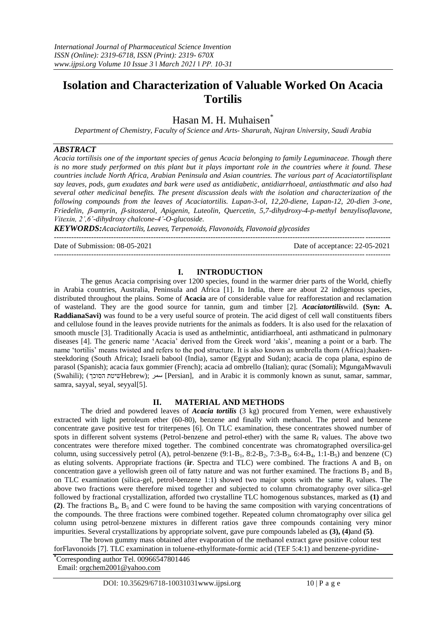# **Isolation and Characterization of Valuable Worked On Acacia Tortilis**

# Hasan M. H. Muhaisen<sup>\*</sup>

*Department of Chemistry, Faculty of Science and Arts- Sharurah, Najran University, Saudi Arabia*

#### *ABSTRACT*

*Acacia tortilisis one of the important species of genus Acacia belonging to family Leguminaceae. Though there is no more study performed on this plant but it plays important role in the countries where it found. These countries include North Africa, Arabian Peninsula and Asian countries. The various part of Acaciatortilisplant say leaves, pods, gum exudates and bark were used as antidiabetic, antidiarrhoeal, antiasthmatic and also had several other medicinal benefits. The present discussion deals with the isolation and characterization of the following compounds from the leaves of Acaciatortilis. Lupan-3-ol, 12,20-diene, Lupan-12, 20-dien 3-one, Friedelin, -amyrin, -sitosterol, Apigenin, Luteolin, Quercetin, 5,7-dihydroxy-4-p-methyl benzylisoflavone, Vitexin, 2',6'-dihydroxy chalcone-4'-O-glucoside.*

*KEYWORDS:Acaciatortilis, Leaves, Terpenoids, Flavonoids, Flavonoid glycosides*

--------------------------------------------------------------------------------------------------------------------------------------- Date of Submission: 08-05-2021 Date of acceptance: 22-05-2021

---------------------------------------------------------------------------------------------------------------------------------------

## **I. INTRODUCTION**

The genus Acacia comprising over 1200 species, found in the warmer drier parts of the World, chiefly in Arabia countries, Australia, Peninsula and Africa [1]. In India, there are about 22 indigenous species, distributed throughout the plains. Some of **Acacia** are of considerable value for reafforestation and reclamation of wasteland. They are the good source for tannin, gum and timber [2]. *Acaciatortilis*wild. **(Syn: A. RaddianaSavi)** was found to be a very useful source of protein. The acid digest of cell wall constituents fibers and cellulose found in the leaves provide nutrients for the animals as fodders. It is also used for the relaxation of smooth muscle [3]. Traditionally Acacia is used as anthelmintic, antidiarrhoeal, anti asthmaticand in pulmonary diseases [4]. The generic name "Acacia" derived from the Greek word "akis", meaning a point or a barb. The name 'tortilis' means twisted and refers to the pod structure. It is also known as umbrella thorn (Africa);haakensteekdoring (South Africa); Israeli babool (India), samor (Egypt and Sudan); acacia de copa plana, espino de parasol (Spanish); acacia faux gommier (French); acacia ad ombrello (Italian); qurac (Somali); MgungaMwavuli (Swahili); )הסוכך שיטתHebrew); سمر] Persian], and in Arabic it is commonly known as sunut, samar, sammar, samra, sayyal, seyal, seyyal[5].

## **II. MATERIAL AND METHODS**

The dried and powdered leaves of *Acacia tortilis* (3 kg) procured from Yemen, were exhaustively extracted with light petroleum ether (60-80), benzene and finally with methanol. The petrol and benzene concentrate gave positive test for triterpenes [6]. On TLC examination, these concentrates showed number of spots in different solvent systems (Petrol-benzene and petrol-ether) with the same  $R_f$  values. The above two concentrates were therefore mixed together. The combined concentrate was chromatographed oversilica-gel column, using successively petrol (A), petrol-benzene  $(9:1-B_1, 8:2-B_2, 7:3-B_3, 6:4-B_4, 1:1-B_5)$  and benzene (C) as eluting solvents. Appropriate fractions (ir. Spectra and TLC) were combined. The fractions A and B<sub>1</sub> on concentration gave a yellowish green oil of fatty nature and was not further examined. The fractions  $B_2$  and  $B_3$ on TLC examination (silica-gel, petrol-benzene 1:1) showed two major spots with the same  $R_f$  values. The above two fractions were therefore mixed together and subjected to column chromatography over silica-gel followed by fractional crystallization, afforded two crystalline TLC homogenous substances, marked as **(1)** and (2). The fractions  $B_4$ ,  $B_5$  and C were found to be having the same composition with varying concentrations of the compounds. The three fractions were combined together. Repeated column chromatography over silica gel column using petrol-benzene mixtures in different ratios gave three compounds containing very minor impurities. Several crystallizations by appropriate solvent, gave pure compounds labeled as **(3), (4)**and **(5)**.

The brown gummy mass obtained after evaporation of the methanol extract gave positive colour test forFlavonoids [7]. TLC examination in toluene-ethylformate-formic acid (TEF 5:4:1) and benzene-pyridine-

**\***Corresponding author Tel. 00966547801446

Email: [orgchem2001@yahoo.com](mailto:orgchem2001@yahoo.com)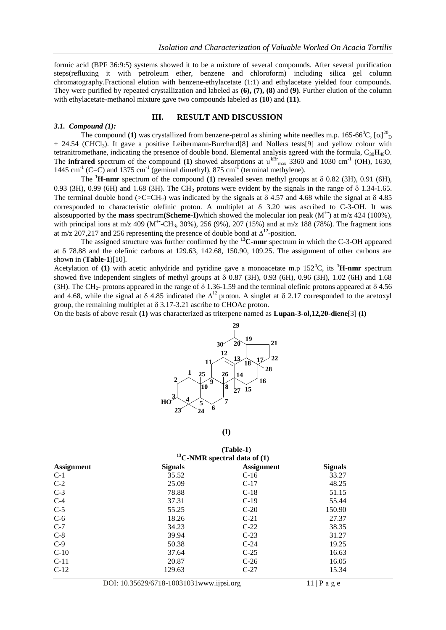formic acid (BPF 36:9:5) systems showed it to be a mixture of several compounds. After several purification steps(refluxing it with petroleum ether, benzene and chloroform) including silica gel column chromatography.Fractional elution with benzene-ethylacetate (1:1) and ethylacetate yielded four compounds. They were purified by repeated crystallization and labeled as **(6), (7), (8)** and **(9)**. Further elution of the column with ethylacetate-methanol mixture gave two compounds labeled as **(10**) and **(11)**.

#### **III. RESULT AND DISCUSSION**

#### *3.1. Compound (1):*

The compound (1) was crystallized from benzene-petrol as shining white needles m.p. 165-66<sup>0</sup>C,  $[\alpha]_{\text{D}}^{20}$ + 24.54 (CHCl3). It gave a positive Leibermann-Burchard[8] and Nollers tests[9] and yellow colour with tetranitromethane, indicating the presence of double bond. Elemental analysis agreed with the formula,  $C_{30}H_{48}O$ . The **infrared** spectrum of the compound (1) showed absorptions at  $v^{kBr}$ <sub>max</sub> 3360 and 1030 cm<sup>-1</sup> (OH), 1630, 1445 cm<sup>-1</sup> (C=C) and 1375 cm<sup>-1</sup> (geminal dimethyl), 875 cm<sup>-1</sup> (terminal methylene).

The  ${}^{1}$ **H-nmr** spectrum of the compound **(1)** revealed seven methyl groups at  $\delta$  0.82 (3H), 0.91 (6H), 0.93 (3H), 0.99 (6H) and 1.68 (3H). The CH<sub>2</sub> protons were evident by the signals in the range of  $\delta$  1.34-1.65. The terminal double bond ( $>C=CH_2$ ) was indicated by the signals at  $\delta$  4.57 and 4.68 while the signal at  $\delta$  4.85 corresponded to characteristic olefinic proton. A multiplet at  $\delta$  3.20 was ascribed to C-3-OH. It was alsosupported by the **mass** spectrum**(Scheme-I)**which showed the molecular ion peak (M+•) at m/z 424 (100%), with principal ions at m/z 409 ( $M^{\text{++}}CH_3$ , 30%), 256 (9%), 207 (15%) and at m/z 188 (78%). The fragment ions at m/z 207,217 and 256 representing the presence of double bond at  $\Delta^{12}$ -position.

The assigned structure was further confirmed by the **<sup>13</sup>C-nmr** spectrum in which the C-3-OH appeared at 78.88 and the olefinic carbons at 129.63, 142.68, 150.90, 109.25. The assignment of other carbons are shown in (**Table-1**)[10].

Acetylation of **(1)** with acetic anhydride and pyridine gave a monoacetate m.p  $152^{\circ}$ C, its **<sup>1</sup>H-nmr** spectrum showed five independent singlets of methyl groups at  $\delta$  0.87 (3H), 0.93 (6H), 0.96 (3H), 1.02 (6H) and 1.68 (3H). The CH<sub>2</sub>- protons appeared in the range of  $\delta$  1.36-1.59 and the terminal olefinic protons appeared at  $\delta$  4.56 and 4.68, while the signal at  $\delta$  4.85 indicated the  $\Delta^{12}$  proton. A singlet at  $\delta$  2.17 corresponded to the acetoxyl group, the remaining multiplet at  $\delta$  3.17-3.21 ascribe to CHOAc proton.

On the basis of above result **(1)** was characterized as triterpene named as **Lupan-3-ol,12,20-diene**[3] **(I)**



|                   |                                    | $(Table-1)$       |                |
|-------------------|------------------------------------|-------------------|----------------|
|                   | $^{13}$ C-NMR spectral data of (1) |                   |                |
| <b>Assignment</b> | <b>Signals</b>                     | <b>Assignment</b> | <b>Signals</b> |
| $C-1$             | 35.52                              | $C-16$            | 33.27          |
| $C-2$             | 25.09                              | $C-17$            | 48.25          |
| $C-3$             | 78.88                              | $C-18$            | 51.15          |
| $C-4$             | 37.31                              | $C-19$            | 55.44          |
| $C-5$             | 55.25                              | $C-20$            | 150.90         |
| $C-6$             | 18.26                              | $C-21$            | 27.37          |
| $C-7$             | 34.23                              | $C-22$            | 38.35          |
| $C-8$             | 39.94                              | $C-23$            | 31.27          |
| $C-9$             | 50.38                              | $C-24$            | 19.25          |
| $C-10$            | 37.64                              | $C-25$            | 16.63          |
| $C-11$            | 20.87                              | $C-26$            | 16.05          |
| $C-12$            | 129.63                             | $C-27$            | 15.34          |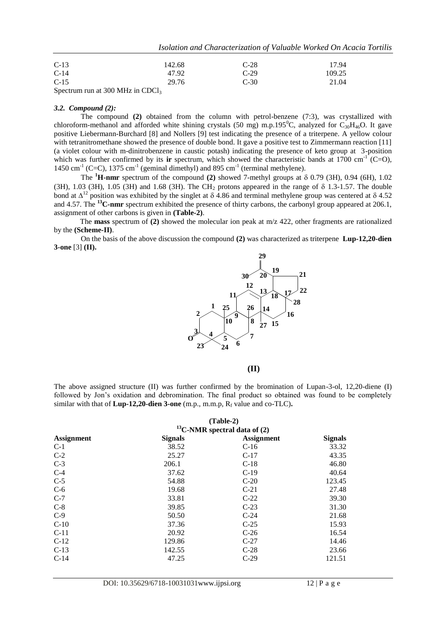*Isolation and Characterization of Valuable Worked On Acacia Tortilis*

| $C-13$                                                    | 142.68 | $C-28$ | 17.94  |
|-----------------------------------------------------------|--------|--------|--------|
| $C-14$                                                    | 47.92  | $C-29$ | 109.25 |
| $C-15$                                                    | 29.76  | $C-30$ | 21.04  |
| $S_{\text{nostrum}}$ $\mu$ at 200 MH <sub>z</sub> in CDC. |        |        |        |

 $\mathop{\rm actrum}\nolimits$  run at 300 MHz in CDCl<sub>3</sub>

#### *3.2. Compound (2):*

The compound **(2)** obtained from the column with petrol-benzene (7:3), was crystallized with chloroform-methanol and afforded white shining crystals (50 mg) m.p.195<sup>o</sup>C, analyzed for C<sub>30</sub>H<sub>46</sub>O. It gave positive Liebermann-Burchard [8] and Nollers [9] test indicating the presence of a triterpene. A yellow colour with tetranitromethane showed the presence of double bond. It gave a positive test to Zimmermann reaction [11] (a violet colour with m-dinitrobenzene in caustic potash) indicating the presence of keto group at 3-position which was further confirmed by its **ir** spectrum, which showed the characteristic bands at  $1700 \text{ cm}^{-1}$  (C=O), 1450 cm<sup>-1</sup> (C=C), 1375 cm<sup>-1</sup> (geminal dimethyl) and 895 cm<sup>-1</sup> (terminal methylene).

The  ${}^{1}$ **H-nmr** spectrum of the compound **(2)** showed 7-methyl groups at  $\delta$  0.79 (3H), 0.94 (6H), 1.02 (3H), 1.03 (3H), 1.05 (3H) and 1.68 (3H). The CH<sub>2</sub> protons appeared in the range of  $\delta$  1.3-1.57. The double bond at  $\Delta^{12}$  position was exhibited by the singlet at  $\delta$  4.86 and terminal methylene group was centered at  $\delta$  4.52 and 4.57. The **<sup>13</sup>C-nmr** spectrum exhibited the presence of thirty carbons, the carbonyl group appeared at 206.1, assignment of other carbons is given in **(Table-2)**.

 The **mass** spectrum of **(2)** showed the molecular ion peak at m/z 422, other fragments are rationalized by the **(Scheme-II)**.

On the basis of the above discussion the compound **(2)** was characterized as triterpene **Lup-12,20-dien 3-one** [3] **(II).**



**(II)**

The above assigned structure (II) was further confirmed by the bromination of Lupan-3-ol, 12,20-diene (I) followed by Jon"s oxidation and debromination. The final product so obtained was found to be completely similar with that of  $Lup-12,20$ -dien 3-one (m.p., m.m.p,  $R_f$  value and co-TLC).

|                   | $(Table-2)$<br>$^{13}$ C-NMR spectral data of (2) |                   |                |
|-------------------|---------------------------------------------------|-------------------|----------------|
| <b>Assignment</b> | <b>Signals</b>                                    | <b>Assignment</b> | <b>Signals</b> |
| $C-1$             | 38.52                                             | $C-16$            | 33.32          |
| $C-2$             | 25.27                                             | $C-17$            | 43.35          |
| $C-3$             | 206.1                                             | $C-18$            | 46.80          |
| $C-4$             | 37.62                                             | $C-19$            | 40.64          |
| $C-5$             | 54.88                                             | $C-20$            | 123.45         |
| $C-6$             | 19.68                                             | $C-21$            | 27.48          |
| $C-7$             | 33.81                                             | $C-22$            | 39.30          |
| $C-8$             | 39.85                                             | $C-23$            | 31.30          |
| $C-9$             | 50.50                                             | $C-24$            | 21.68          |
| $C-10$            | 37.36                                             | $C-25$            | 15.93          |
| $C-11$            | 20.92                                             | $C-26$            | 16.54          |
| $C-12$            | 129.86                                            | $C-27$            | 14.46          |
| $C-13$            | 142.55                                            | $C-28$            | 23.66          |
| $C-14$            | 47.25                                             | $C-29$            | 121.51         |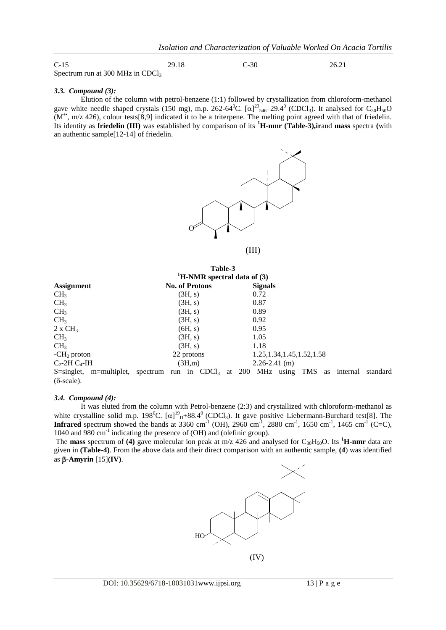| $C-15$                                       | 29.18 | $C-30$ | 26.21 |
|----------------------------------------------|-------|--------|-------|
| Spectrum run at 300 MHz in CDCl <sub>3</sub> |       |        |       |

#### *3.3. Compound (3):*

Elution of the column with petrol-benzene (1:1) followed by crystallization from chloroform-methanol gave white needle shaped crystals (150 mg), m.p. 262-64<sup>0</sup>C. [ $\alpha$ ]<sup>23</sup><sub>546</sub>-29.4<sup>0</sup> (CDCl<sub>3</sub>). It analysed for C<sub>30</sub>H<sub>50</sub>O  $(M^*$ , m/z 426), colour tests[8,9] indicated it to be a triterpene. The melting point agreed with that of friedelin. Its identity as **friedelin (III)** was established by comparison of its **<sup>1</sup>H-nmr (Table-3),ir**and **mass** spectra **(**with an authentic sample[12-14] of friedelin.



|                              | Table-3                                      |                              |                            |
|------------------------------|----------------------------------------------|------------------------------|----------------------------|
|                              | $H-MR$ spectral data of (3)                  |                              |                            |
| <b>Assignment</b>            | <b>No. of Protons</b>                        | <b>Signals</b>               |                            |
| CH <sub>3</sub>              | (3H, s)                                      | 0.72                         |                            |
| CH <sub>3</sub>              | (3H, s)                                      | 0.87                         |                            |
| CH <sub>3</sub>              | (3H, s)                                      | 0.89                         |                            |
| CH <sub>3</sub>              | (3H, s)                                      | 0.92                         |                            |
| $2 \times CH_3$              | (6H, s)                                      | 0.95                         |                            |
| CH <sub>3</sub>              | (3H, s)                                      | 1.05                         |                            |
| CH <sub>3</sub>              | (3H, s)                                      | 1.18                         |                            |
| $-CH2$ proton                | 22 protons                                   | 1.25, 1.34, 1.45, 1.52, 1.58 |                            |
| $C_2$ -2H $C_4$ -IH          | (3H,m)                                       | $2.26 - 2.41$ (m)            |                            |
| $S = singlet$ , m=multiplet, | spectrum run in $CDCl3$ at 200 MHz using TMS |                              | internal<br>standard<br>as |
| $(\delta$ -scale).           |                                              |                              |                            |

#### *3.4. Compound (4):*

It was eluted from the column with Petrol-benzene (2:3) and crystallized with chloroform-methanol as white crystalline solid m.p. 198<sup>0</sup>C.  $[\alpha]_{D}^{19} + 88.4^0$  (CDCl<sub>3</sub>). It gave positive Liebermann-Burchard test[8]. The **Infrared** spectrum showed the bands at 3360 cm<sup>-1</sup> (OH), 2960 cm<sup>-1</sup>, 2880 cm<sup>-1</sup>, 1650 cm<sup>-1</sup>, 1465 cm<sup>-1</sup> (C=C), 1040 and 980 cm<sup>-1</sup> indicating the presence of (OH) and (olefinic group).

The **mass** spectrum of **(4)** gave molecular ion peak at m/z 426 and analysed for  $C_{30}H_{50}O$ . Its <sup>1</sup>**H-nmr** data are given in **(Table-4)**. From the above data and their direct comparison with an authentic sample, **(4**) was identified as  $\beta$ -Amyrin  $[15]$ **(IV)**.

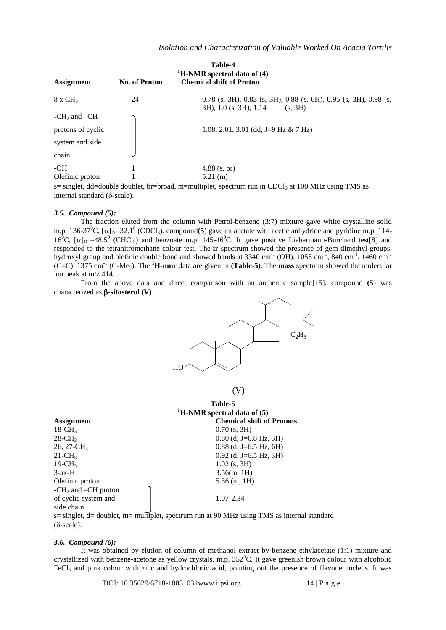| Table-4<br>${}^{1}$ H-NMR spectral data of (4) |               |                                                                                                         |  |  |
|------------------------------------------------|---------------|---------------------------------------------------------------------------------------------------------|--|--|
| <b>Assignment</b>                              | No. of Proton | <b>Chemical shift of Proton</b>                                                                         |  |  |
| $8 \times CH3$                                 | 24            | $0.78$ (s, 3H), 0.83 (s, 3H), 0.88 (s, 6H), 0.95 (s, 3H), 0.98 (s,<br>3H), 1.0 (s, 3H), 1.14<br>(s, 3H) |  |  |
| -CH <sub>2</sub> and $-CH$                     |               |                                                                                                         |  |  |
| protons of cyclic                              |               | 1.08, 2.01, 3.01 (dd, J=9 Hz & 7 Hz)                                                                    |  |  |
| system and side                                |               |                                                                                                         |  |  |
| chain                                          |               |                                                                                                         |  |  |
| -OH                                            |               | $4.88$ (s, br)                                                                                          |  |  |
| Olefinic proton                                |               | $5.21$ (m)                                                                                              |  |  |

s= singlet, dd=double doublet, br=broad, m=multiplet, spectrum run in CDCl<sub>3</sub> at 100 MHz using TMS as internal standard ( $\delta$ -scale).

## *3.5. Compound (5):*

The fraction eluted from the column with Petrol-benzene (3:7) mixture gave white crystalline solid m.p. 136-37<sup>0</sup>C,  $[\alpha]_D$  –32.1<sup>0</sup> (CDCl<sub>3</sub>). compound(5) gave an acetate with acetic anhydride and pyridine m.p. 114-16<sup>0</sup>C,  $[\alpha]_D$  –48.5<sup>0</sup> (CHCl<sub>3</sub>) and benzoate m.p. 145-46<sup>0</sup>C. It gave positive Liebermann-Burchard test[8] and responded to the tetranitromethane colour test. The **ir** spectrum showed the presence of gem-dimethyl groups, hydroxyl group and olefinic double bond and showed bands at 3340 cm<sup>-1</sup> (OH), 1055 cm<sup>-1</sup>, 840 cm<sup>-1</sup>, 1460 cm<sup>-1</sup> (C=C), 1375 cm<sup>-1</sup> (C-Me<sub>2</sub>). The <sup>1</sup>**H-nmr** data are given in (**Table-5**). The **mass** spectrum showed the molecular ion peak at m/z 414.

From the above data and direct comparison with an authentic sample[15], compound **(5**) was characterized as  $\beta$ -sitosterol (V).



(V)

|                                 | Table-5                                   |
|---------------------------------|-------------------------------------------|
|                                 | <sup>1</sup> H-NMR spectral data of $(5)$ |
| <b>Assignment</b>               | <b>Chemical shift of Protons</b>          |
| $18$ -CH <sub>3</sub>           | $0.70$ (s, 3H)                            |
| $28$ -CH <sub>3</sub>           | $0.80$ (d, J=6.8 Hz, 3H)                  |
| $26, 27$ -CH <sub>3</sub>       | $0.88$ (d, J=6.5 Hz, 6H)                  |
| $21$ -CH <sub>3</sub>           | $0.92$ (d, J=6.5 Hz, 3H)                  |
| $19$ -CH <sub>3</sub>           | $1.02$ (s, 3H)                            |
| $3-ax-H$                        | 3.56(m, 1H)                               |
| Olefinic proton                 | $5.36$ (m, 1H)                            |
| -CH <sub>2</sub> and -CH proton |                                           |
| of cyclic system and            | 1.07-2.34                                 |
| side chain                      |                                           |
|                                 |                                           |

s= singlet, d= doublet, m= multiplet, spectrum run at 90 MHz using TMS as internal standard  $(\delta$ -scale).

#### *3.6. Compound (6):*

It was obtained by elution of column of methanol extract by benzene-ethylacetate (1:1) mixture and crystallized with benzene-acetone as yellow crystals, m.p.  $352^{\circ}$ C. It gave greenish brown colour with alcoholic FeCl<sub>3</sub> and pink colour with zinc and hydrochloric acid, pointing out the presence of flavone nucleus. It was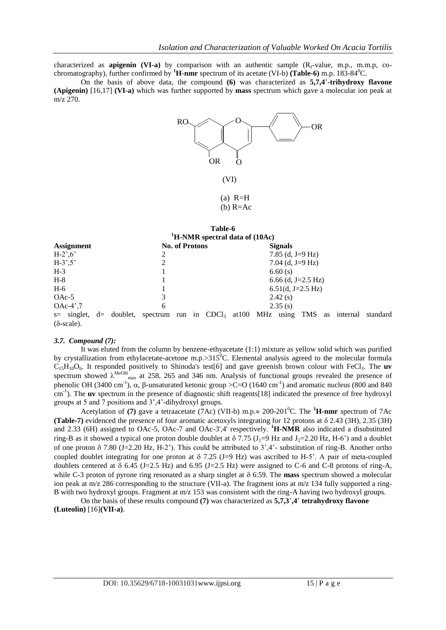characterized as **apigenin (VI-a)** by comparison with an authentic sample  $(R_f$ -value, m.p., m.m.p, cochromatography), further confirmed by <sup>1</sup>**H-nmr** spectrum of its acetate (VI-b) (Table-6) m.p. 183-84<sup>0</sup>C.

On the basis of above data, the compound **(6)** was characterized as **5,7,4**"**-trihydroxy flavone (Apigenin)** [16,17] **(VI-a)** which was further supported by **mass** spectrum which gave a molecular ion peak at m/z 270.



(VI)

 $(a)$  R=H  $(b)$  R=Ac

|                                                                                                |   |                       | Table-6                                                  |  |                |                     |  |          |
|------------------------------------------------------------------------------------------------|---|-----------------------|----------------------------------------------------------|--|----------------|---------------------|--|----------|
|                                                                                                |   |                       | $\mathrm{H}\text{-}\mathrm{NMR}$ spectral data of (10Ac) |  |                |                     |  |          |
| <b>Assignment</b>                                                                              |   | <b>No. of Protons</b> |                                                          |  | <b>Signals</b> |                     |  |          |
| $H-2^{\prime}, 6^{\prime}$                                                                     | 2 |                       |                                                          |  |                | 7.85 (d, J=9 Hz)    |  |          |
| $H-3^{\prime},5^{\prime}$                                                                      | 2 |                       |                                                          |  |                | 7.04 (d, J=9 Hz)    |  |          |
| $H-3$                                                                                          |   |                       |                                                          |  | 6.60(s)        |                     |  |          |
| $H-8$                                                                                          |   |                       |                                                          |  |                | 6.66 (d, J=2.5 Hz)  |  |          |
| $H-6$                                                                                          |   |                       |                                                          |  |                | $6.51(d, J=2.5 Hz)$ |  |          |
| $OAc-5$                                                                                        | 3 |                       |                                                          |  | 2.42(s)        |                     |  |          |
| $OAc-4$ <sup>'</sup> ,7                                                                        | 6 |                       |                                                          |  | 2.35(s)        |                     |  |          |
| $s=$ singlet, $d=$ doublet, spectrum run in CDCl <sub>3</sub> at 100 MHz using TMS as internal |   |                       |                                                          |  |                |                     |  | standard |
| $(\delta$ -scale).                                                                             |   |                       |                                                          |  |                |                     |  |          |

#### *3.7. Compound (7):*

It was eluted from the column by benzene-ethyacetate (1:1) mixture as yellow solid which was purified by crystallization from ethylacetate-acetone m.p.> $315^0$ C. Elemental analysis agreed to the molecular formula  $C_{15}H_{10}O_6$ . It responded positively to Shinoda's test[6] and gave greenish brown colour with FeCl<sub>3</sub>. The **uv** spectrum showed  $\lambda^{\text{MeOH}}_{\text{max}}$  at 258, 265 and 346 nm. Analysis of functional groups revealed the presence of phenolic OH (3400 cm<sup>-1</sup>),  $\alpha$ ,  $\beta$ -unsaturated ketonic group >C=O (1640 cm<sup>-1</sup>) and aromatic nucleus (800 and 840 cm<sup>-1</sup>). The **uv** spectrum in the presence of diagnostic shift reagents[18] indicated the presence of free hydroxyl groups at 5 and 7 positions and 3",4"-dihydroxyl groups.

Acetylation of (7) gave a tetraacetate (7Ac) (VII-b) m.p. $\approx 200{\text -}201^0$ C. The <sup>1</sup>H-nmr spectrum of 7Ac **(Table-7)** evidenced the presence of four aromatic acetoxyls integrating for 12 protons at 2.43 (3H), 2.35 (3H) and 2.33 (6H) assigned to OAc-5, OAc-7 and OAc-3',4' respectively. **<sup>1</sup>H-NMR** also indicated a disubstituted ring-B as it showed a typical one proton double doublet at  $\delta$  7.75 (J<sub>1</sub>=9 Hz and J<sub>2</sub>=2.20 Hz, H-6<sup>\*</sup>) and a doublet of one proton  $\delta$  7.80 (J=2.20 Hz, H-2"). This could be attributed to  $3^{\prime}$ ,4'- substitution of ring-B. Another ortho coupled doublet integrating for one proton at  $\delta$  7.25 (J=9 Hz) was ascribed to H-5'. A pair of meta-coupled doublets centered at  $\delta$  6.45 (J=2.5 Hz) and 6.95 (J=2.5 Hz) were assigned to C-6 and C-8 protons of ring-A, while C-3 proton of pyrone ring resonated as a sharp singlet at  $\delta$  6.59. The **mass** spectrum showed a molecular ion peak at m/z 286 corresponding to the structure (VII-a). The fragment ions at m/z 134 fully supported a ring-B with two hydroxyl groups. Fragment at m/z 153 was consistent with the ring-A having two hydroxyl groups.

On the basis of these results compound **(7)** was characterized as **5,7,3**"**,4**" **tetrahydroxy flavone (Luteolin)** [16]**(VII-a)**.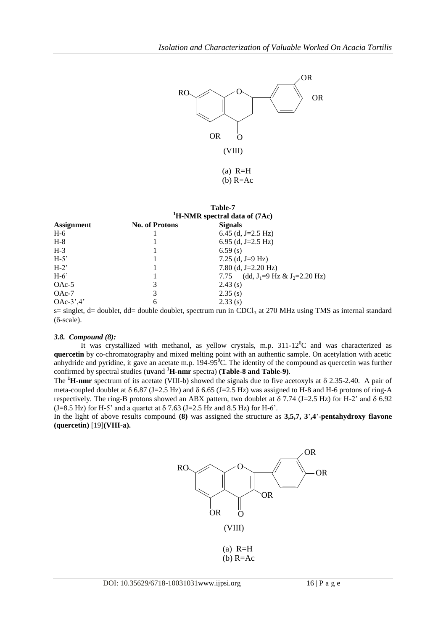

|                   |                       | Table-7<br><sup>1</sup> H-NMR spectral data of (7Ac)                                                  |
|-------------------|-----------------------|-------------------------------------------------------------------------------------------------------|
| <b>Assignment</b> | <b>No. of Protons</b> | <b>Signals</b>                                                                                        |
| $H-6$             |                       | 6.45 (d, J=2.5 Hz)                                                                                    |
| $H-8$             |                       | 6.95 (d, J=2.5 Hz)                                                                                    |
| $H-3$             |                       | 6.59(s)                                                                                               |
| $H-5'$            |                       | 7.25 (d, J=9 Hz)                                                                                      |
| $H-2$             |                       | 7.80 (d, J=2.20 Hz)                                                                                   |
| $H-6'$            |                       | 7.75 (dd, J <sub>1</sub> =9 Hz & J <sub>2</sub> =2.20 Hz)                                             |
| $OAc-5$           | 3                     | 2.43(s)                                                                                               |
| $OAc-7$           | 3                     | 2.35(s)                                                                                               |
| $OAc-3^2.4'$      | 6                     | 2.33(s)                                                                                               |
|                   |                       | s= singlet, d= doublet, dd= double doublet, spectrum run in CDCl <sub>3</sub> at 270 MHz using TMS as |

internal standard  $(\delta$ -scale).

#### *3.8. Compound (8):*

It was crystallized with methanol, as yellow crystals, m.p.  $311-12^0C$  and was characterized as **quercetin** by co-chromatography and mixed melting point with an authentic sample. On acetylation with acetic anhydride and pyridine, it gave an acetate m.p.  $194-95^{\circ}$ C. The identity of the compound as quercetin was further confirmed by spectral studies (**uv**and **<sup>1</sup>H-nmr** spectra) **(Table-8 and Table-9)**.

The  ${}^{1}$ **H-nmr** spectrum of its acetate (VIII-b) showed the signals due to five acetoxyls at  $\delta$  2.35-2.40. A pair of meta-coupled doublet at  $\delta$  6.87 (J=2.5 Hz) and  $\delta$  6.65 (J=2.5 Hz) was assigned to H-8 and H-6 protons of ring-A respectively. The ring-B protons showed an ABX pattern, two doublet at  $\delta$  7.74 (J=2.5 Hz) for H-2' and  $\delta$  6.92  $(J=8.5 \text{ Hz})$  for H-5' and a quartet at  $\delta$  7.63 (J=2.5 Hz and 8.5 Hz) for H-6'.

In the light of above results compound **(8)** was assigned the structure as **3,5,7, 3**"**,4**"-**pentahydroxy flavone (quercetin)** [19]**(VIII-a).**

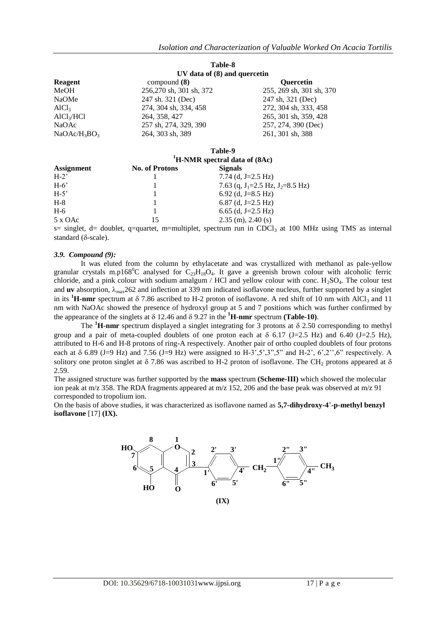|                        |                                           | Table-8                  |  |  |  |
|------------------------|-------------------------------------------|--------------------------|--|--|--|
|                        | UV data of (8) and quercetin              |                          |  |  |  |
| Reagent                | compound $(8)$                            | <b>Ouercetin</b>         |  |  |  |
| MeOH                   | 256,270 sh, 301 sh, 372                   | 255, 269 sh, 301 sh, 370 |  |  |  |
| <b>NaOMe</b>           | 247 sh. 321 (Dec)                         | 247 sh, 321 (Dec)        |  |  |  |
| AICl <sub>3</sub>      | 274, 304 sh, 334, 458                     | 272, 304 sh, 333, 458    |  |  |  |
| AlCl <sub>3</sub> /HCl | 264, 358, 427                             | 265, 301 sh, 359, 428    |  |  |  |
| NaOAc                  | 257 sh, 274, 329, 390                     | 257, 274, 390 (Dec)      |  |  |  |
| $NaOAc/H_3BO_3$        | 264, 303 sh, 389                          | 261, 301 sh, 388         |  |  |  |
|                        |                                           | Table-9                  |  |  |  |
|                        | <sup>1</sup> H-NMR spectral data of (8Ac) |                          |  |  |  |
| <b>Assignment</b>      | <b>No. of Protons</b>                     | <b>Signals</b>           |  |  |  |
| $H-2$                  |                                           | 7.74 (d. J=2.5 Hz)       |  |  |  |

 $H-6$ " 1 7.63 (q,  $J_1=2.5$  Hz,  $J_2=8.5$  Hz)<br> $H-5$ " 1 6.92 (d,  $J=8.5$  Hz) 6.92 (d, J=8.5 Hz)  $H-8$  1 6.87 (d, J=2.5 Hz)  $H-6$  1 6.65 (d, J=2.5 Hz)<br>5 x OAc 15 2.35 (m), 2.40 (s) 5 x OAc 15 2.35 (m), 2.40 (s)

 $s=$  singlet, d= doublet, q=quartet, m=multiplet, spectrum run in CDCl<sub>3</sub> at 100 MHz using TMS as internal standard  $(\delta\text{-scale})$ .

#### *3.9. Compound (9):*

It was eluted from the column by ethylacetate and was crystallized with methanol as pale-yellow granular crystals m.p168<sup>o</sup>C analysed for  $C_{23}H_{18}O_4$ . It gave a greenish brown colour with alcoholic ferric chloride, and a pink colour with sodium amalgum / HCl and yellow colour with conc.  $H_2SO_4$ . The colour test and **uv** absorption,  $\lambda_{\text{max}}$ 262 and inflection at 339 nm indicated isoflavone nucleus, further supported by a singlet in its  ${}^{1}$ **H-nmr** spectrum at  $\delta$  7.86 ascribed to H-2 proton of isoflavone. A red shift of 10 nm with AlCl<sub>3</sub> and 11 nm with NaOAc showed the presence of hydroxyl group at 5 and 7 positions which was further confirmed by the appearance of the singlets at  $\delta$  12.46 and  $\delta$  9.27 in the  ${}^{1}$ **H-nmr** spectrum (**Table-10**).

The  ${}^{1}$ **H-nmr** spectrum displayed a singlet integrating for 3 protons at  $\delta$  2.50 corresponding to methyl group and a pair of meta-coupled doublets of one proton each at  $\delta$  6.17 (J=2.5 Hz) and 6.40 (J=2.5 Hz), attributed to H-6 and H-8 protons of ring-A respectively. Another pair of ortho coupled doublets of four protons each at  $\delta$  6.89 (J=9 Hz) and 7.56 (J=9 Hz) were assigned to H-3',5',3",5" and H-2', 6',2",6" respectively. A solitory one proton singlet at  $\delta$  7.86 was ascribed to H-2 proton of isoflavone. The CH<sub>2</sub> protons appeared at  $\delta$ 2.59.

The assigned structure was further supported by the **mass** spectrum **(Scheme-III)** which showed the molecular ion peak at m/z 358. The RDA fragments appeared at m/z 152, 206 and the base peak was observed at m/z 91 corresponded to tropolium ion.

On the basis of above studies, it was characterized as isoflavone named as **5,7-dihydroxy-4**"**-p-methyl benzyl isoflavone** [17] **(IX).**

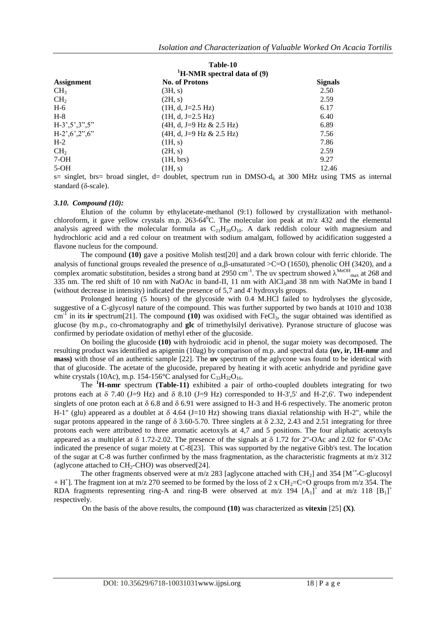|                                                                | <b>Table-10</b>                           |                |  |
|----------------------------------------------------------------|-------------------------------------------|----------------|--|
|                                                                | <sup>1</sup> H-NMR spectral data of $(9)$ |                |  |
| <b>Assignment</b>                                              | <b>No. of Protons</b>                     | <b>Signals</b> |  |
| CH <sub>3</sub>                                                | (3H, s)                                   | 2.50           |  |
| CH <sub>2</sub>                                                | (2H, s)                                   | 2.59           |  |
| $H-6$                                                          | $(1H, d, J=2.5 Hz)$                       | 6.17           |  |
| $H-8$                                                          | $(1H, d, J=2.5 Hz)$                       | 6.40           |  |
| $H-3^{\circ},5^{\circ},3^{\circ\circ},5^{\circ\circ}$          | $(4H, d, J=9 Hz & 2.5 Hz)$                | 6.89           |  |
| $H-2^{\prime}, 6^{\prime}, 2^{\prime\prime}, 6^{\prime\prime}$ | $(4H, d, J=9 Hz & 2.5 Hz)$                | 7.56           |  |
| $H-2$                                                          | (H, s)                                    | 7.86           |  |
| CH <sub>2</sub>                                                | (2H, s)                                   | 2.59           |  |
| $7-OH$                                                         | (1H, brs)                                 | 9.27           |  |
| $5-OH$                                                         | (1H, s)                                   | 12.46          |  |
|                                                                |                                           |                |  |

 $s=$  singlet, brs= broad singlet, d= doublet, spectrum run in DMSO- $d<sub>6</sub>$  at 300 MHz using TMS as internal standard  $(\delta\text{-scale})$ .

#### *3.10. Compound (10):*

Elution of the column by ethylacetate-methanol (9:1) followed by crystallization with methanolchloroform, it gave yellow crystals m.p.  $263-64^{\circ}$ C. The molecular ion peak at m/z 432 and the elemental analysis agreed with the molecular formula as  $C_{21}H_{20}O_{10}$ . A dark reddish colour with magnesium and hydrochloric acid and a red colour on treatment with sodium amalgam, followed by acidification suggested a flavone nucleus for the compound.

The compound **(10)** gave a positive Molish test[20] and a dark brown colour with ferric chloride. The analysis of functional groups revealed the presence of  $\alpha$ ,  $\beta$ -unsaturated >C=O (1650), phenolic OH (3420), and a complex aromatic substitution, besides a strong band at 2950 cm<sup>-1</sup>. The uv spectrum showed  $\lambda^{MeOH}$ <sub>max</sub> at 268 and 335 nm. The red shift of 10 nm with NaOAc in band-II, 11 nm with  $AICI<sub>3</sub>$ and 38 nm with NaOMe in band I (without decrease in intensity) indicated the presence of 5,7 and 4' hydroxyls groups.

Prolonged heating (5 hours) of the glycoside with 0.4 M.HCl failed to hydrolyses the glycoside, suggestive of a C-glycosyl nature of the compound. This was further supported by two bands at 1010 and 1038  $cm^{-1}$  in its **ir** spectrum[21]. The compound (10) was oxidised with FeCl<sub>3</sub>, the sugar obtained was identified as glucose (by m.p., co-chromatography and **glc** of trimethylsilyl derivative). Pyranose structure of glucose was confirmed by periodate oxidation of methyl ether of the glucoside.

On boiling the glucoside **(10)** with hydroiodic acid in phenol, the sugar moiety was decomposed. The resulting product was identified as apigenin (10ag) by comparison of m.p. and spectral data **(uv, ir, 1H-nmr** and **mass)** with those of an authentic sample [22]. The **uv** spectrum of the aglycone was found to be identical with that of glucoside. The acetate of the glucoside, prepared by heating it with acetic anhydride and pyridine gave white crystals (10Ac), m.p. 154-156 $\degree$ C analysed for C<sub>33</sub>H<sub>32</sub>O<sub>16</sub>.

The **<sup>1</sup>H-nmr** spectrum **(Table-11)** exhibited a pair of ortho-coupled doublets integrating for two protons each at  $\delta$  7.40 (J=9 Hz) and  $\delta$  8.10 (J=9 Hz) corresponded to H-3',5' and H-2',6'. Two independent singlets of one proton each at  $\delta$  6.8 and  $\delta$  6.91 were assigned to H-3 and H-6 respectively. The anomeric proton H-1" (glu) appeared as a doublet at  $\delta$  4.64 (J=10 Hz) showing trans diaxial relationship with H-2", while the sugar protons appeared in the range of  $\delta$  3.60-5.70. Three singlets at  $\delta$  2.32, 2.43 and 2.51 integrating for three protons each were attributed to three aromatic acetoxyls at 4,7 and 5 positions. The four aliphatic acetoxyls appeared as a multiplet at  $\delta$  1.72-2.02. The presence of the signals at  $\delta$  1.72 for 2"-OAc and 2.02 for 6"-OAc indicated the presence of sugar moiety at C-8[23]. This was supported by the negative Gibb's test. The location of the sugar at C-8 was further confirmed by the mass fragmentation, as the characteristic fragments at m/z 312 (aglycone attached to  $CH_2$ -CHO) was observed[24].

The other fragments observed were at m/z 283 [aglycone attached with  $CH<sub>2</sub>$ ] and 354 [M<sup>++</sup>-C-glucosyl  $+ H^{+}$ ]. The fragment ion at m/z 270 seemed to be formed by the loss of 2 x CH<sub>2</sub>=C=O groups from m/z 354. The RDA fragments representing ring-A and ring-B were observed at m/z 194  $[A_1]^+$  and at m/z 118  $[B_1]^+$ respectively.

On the basis of the above results, the compound **(10)** was characterized as **vitexin** [25] **(X)**.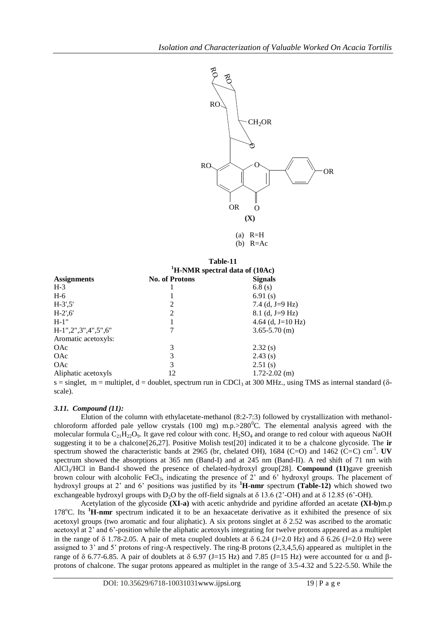

(b)  $R=Ac$ 

|                     | Table-11<br><sup>1</sup> H-NMR spectral data of $(10Ac)$ |                   |  |
|---------------------|----------------------------------------------------------|-------------------|--|
|                     |                                                          |                   |  |
| <b>Assignments</b>  | <b>No. of Protons</b>                                    | <b>Signals</b>    |  |
| $H-3$               |                                                          | 6.8(s)            |  |
| $H-6$               |                                                          | 6.91 $(s)$        |  |
| $H-3', 5'$          | 2                                                        | 7.4 (d, J=9 Hz)   |  |
| $H-2', 6'$          | 2                                                        | $8.1$ (d, J=9 Hz) |  |
| $H-1"$              |                                                          | 4.64 (d, J=10 Hz) |  |
| H-1",2",3",4",5",6" |                                                          | $3.65 - 5.70$ (m) |  |
| Aromatic acetoxyls: |                                                          |                   |  |
| <b>OAc</b>          | 3                                                        | 2.32(s)           |  |
| OAc                 | 3                                                        | 2.43(s)           |  |
| OAc                 | 3                                                        | 2.51(s)           |  |
| Aliphatic acetoxyls | 12                                                       | $1.72 - 2.02$ (m) |  |

s = singlet, m = multiplet, d = doublet, spectrum run in CDCl<sub>3</sub> at 300 MHz., using TMS as internal standard ( $\delta$ scale).

#### *3.11. Compound (11):*

Elution of the column with ethylacetate-methanol (8:2-7:3) followed by crystallization with methanolchloroform afforded pale yellow crystals (100 mg) m.p. $>280^{\circ}$ C. The elemental analysis agreed with the molecular formula  $C_{21}H_{22}O_9$ . It gave red colour with conc.  $H_2SO_4$  and orange to red colour with aqueous NaOH suggesting it to be a chalcone[26,27]. Positive Molish test[20] indicated it to be a chalcone glycoside. The **ir** spectrum showed the characteristic bands at 2965 (br, chelated OH), 1684 (C=O) and 1462 (C=C) cm<sup>-1</sup>. **UV** spectrum showed the absorptions at 365 nm (Band-I) and at 245 nm (Band-II). A red shift of 71 nm with AlCl3/HCl in Band-I showed the presence of chelated-hydroxyl group[28]. **Compound (11)**gave greenish brown colour with alcoholic FeCl<sub>3</sub>, indicating the presence of 2' and 6' hydroxyl groups. The placement of hydroxyl groups at 2" and 6" positions was justified by its **<sup>1</sup>H-nmr** spectrum **(Table-12)** which showed two exchangeable hydroxyl groups with  $D_2O$  by the off-field signals at  $\delta$  13.6 (2'-OH) and at  $\delta$  12.85 (6'-OH).

Acetylation of the glycoside **(XI-a)** with acetic anhydride and pyridine afforded an acetate **(XI-b)**m.p 178<sup>o</sup>C. Its <sup>1</sup>**H-nmr** spectrum indicated it to be an hexaacetate derivative as it exhibited the presence of six acetoxyl groups (two aromatic and four aliphatic). A six protons singlet at  $\delta$  2.52 was ascribed to the aromatic acetoxyl at 2" and 6"-position while the aliphatic acetoxyls integrating for twelve protons appeared as a multiplet in the range of  $\delta$  1.78-2.05. A pair of meta coupled doublets at  $\delta$  6.24 (J=2.0 Hz) and  $\delta$  6.26 (J=2.0 Hz) were assigned to 3" and 5" protons of ring-A respectively. The ring-B protons (2,3,4,5,6) appeared as multiplet in the range of  $\delta$  6.77-6.85. A pair of doublets at  $\delta$  6.97 (J=15 Hz) and 7.85 (J=15 Hz) were accounted for  $\alpha$  and  $\beta$ protons of chalcone. The sugar protons appeared as multiplet in the range of 3.5-4.32 and 5.22-5.50. While the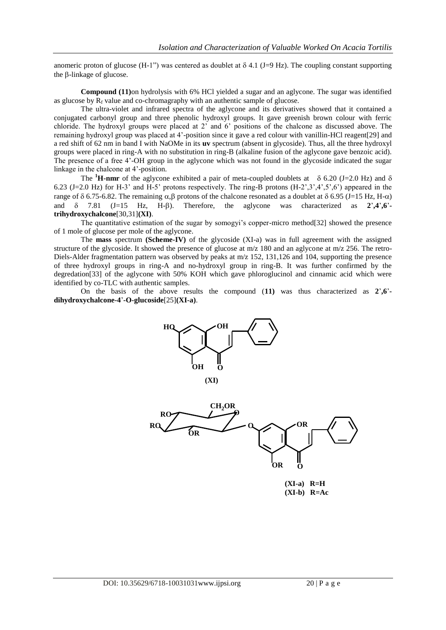anomeric proton of glucose (H-1") was centered as doublet at  $\delta$  4.1 (J=9 Hz). The coupling constant supporting the  $\beta$ -linkage of glucose.

**Compound (11)**on hydrolysis with 6% HCl yielded a sugar and an aglycone. The sugar was identified as glucose by  $R_f$  value and co-chromagraphy with an authentic sample of glucose.

The ultra-violet and infrared spectra of the aglycone and its derivatives showed that it contained a conjugated carbonyl group and three phenolic hydroxyl groups. It gave greenish brown colour with ferric chloride. The hydroxyl groups were placed at 2" and 6" positions of the chalcone as discussed above. The remaining hydroxyl group was placed at 4"-position since it gave a red colour with vanillin-HCl reagent[29] and a red shift of 62 nm in band I with NaOMe in its **uv** spectrum (absent in glycoside). Thus, all the three hydroxyl groups were placed in ring-A with no substitution in ring-B (alkaline fusion of the aglycone gave benzoic acid). The presence of a free 4"-OH group in the aglycone which was not found in the glycoside indicated the sugar linkage in the chalcone at 4"-position.

The **<sup>1</sup>H-nmr** of the aglycone exhibited a pair of meta-coupled doublets at  $\delta$  6.20 (J=2.0 Hz) and  $\delta$ 6.23 (J=2.0 Hz) for H-3' and H-5' protons respectively. The ring-B protons  $(H-2,3,4,5,6')$  appeared in the range of  $\delta$  6.75-6.82. The remaining  $\alpha, \beta$  protons of the chalcone resonated as a doublet at  $\delta$  6.95 (J=15 Hz, H- $\alpha$ ) and  $\delta$  7.81 (J=15 Hz, H- $\beta$ ). Therefore, the aglycone was characterized as  $2^{\prime}$ , 4<sup>'</sup>, 6<sup>'</sup> **trihydroxychalcone**[30,31]**(XI)**.

The quantitative estimation of the sugar by somogyi"s copper-micro method[32] showed the presence of 1 mole of glucose per mole of the aglycone.

The **mass** spectrum **(Scheme-IV)** of the glycoside (XI-a) was in full agreement with the assigned structure of the glycoside. It showed the presence of glucose at m/z 180 and an aglycone at m/z 256. The retro-Diels-Alder fragmentation pattern was observed by peaks at m/z 152, 131,126 and 104, supporting the presence of three hydroxyl groups in ring-A and no-hydroxyl group in ring-B. It was further confirmed by the degredation[33] of the aglycone with 50% KOH which gave phloroglucinol and cinnamic acid which were identified by co-TLC with authentic samples.

On the basis of the above results the compound  $(11)$  was thus characterized as  $2^{\prime}$ **,6**<sup>2</sup> **dihydroxychalcone-4**"**-O-glucoside**[25]**(XI-a)**.



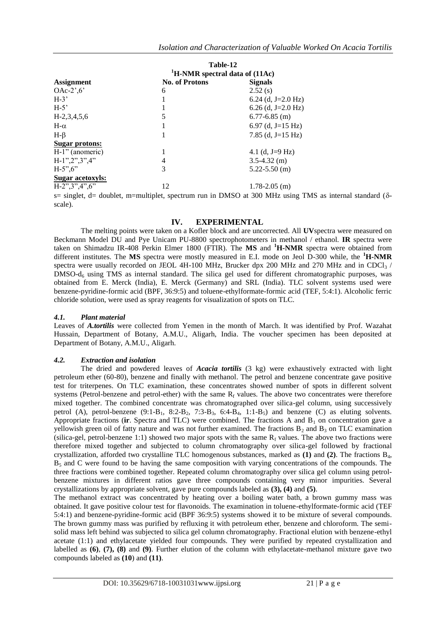|                                   | Table-12                                     |                    |
|-----------------------------------|----------------------------------------------|--------------------|
|                                   | <sup>1</sup> H-NMR spectral data of $(11Ac)$ |                    |
| <b>Assignment</b>                 | <b>No. of Protons</b>                        | <b>Signals</b>     |
| OAc- $2^{\prime}$ ,6 <sup>'</sup> | 6                                            | 2.52(s)            |
| $H-3'$                            |                                              | 6.24 (d, J=2.0 Hz) |
| $H-5'$                            |                                              | 6.26 (d, J=2.0 Hz) |
| $H-2,3,4,5,6$                     | 5                                            | $6.77 - 6.85$ (m)  |
| $H-\alpha$                        |                                              | 6.97 (d, J=15 Hz)  |
| $H-\beta$                         |                                              | 7.85 (d, J=15 Hz)  |
| Sugar protons:                    |                                              |                    |
| H-1" (anomeric)                   |                                              | 4.1 (d, J=9 Hz)    |
| $H-1", 2", 3", 4"$                | 4                                            | $3.5 - 4.32$ (m)   |
| $H-5", 6"$                        | 3                                            | $5.22 - 5.50$ (m)  |
| <b>Sugar acetoxyls:</b>           |                                              |                    |
| $H-2", 3", 4", 6"$                | 12                                           | $1.78 - 2.05$ (m)  |
|                                   |                                              |                    |

s= singlet, d= doublet, m=multiplet, spectrum run in DMSO at 300 MHz using TMS as internal standard ( $\delta$ scale).

## **IV. EXPERIMENTAL**

The melting points were taken on a Kofler block and are uncorrected. All **UV**spectra were measured on Beckmann Model DU and Pye Unicam PU-8800 spectrophotometers in methanol / ethanol. **IR** spectra were taken on Shimadzu IR-408 Perkin Elmer 1800 (FTIR). The **MS** and **<sup>1</sup>H-NMR** spectra were obtained from different institutes. The **MS** spectra were mostly measured in E.I. mode on Jeol D-300 while, the **<sup>1</sup>H-NMR** spectra were usually recorded on JEOL 4H-100 MHz, Brucker dpx 200 MHz and 270 MHz and in CDCl<sub>3</sub> /  $DMSO-d<sub>6</sub>$  using TMS as internal standard. The silica gel used for different chromatographic purposes, was obtained from E. Merck (India), E. Merck (Germany) and SRL (India). TLC solvent systems used were benzene-pyridine-formic acid (BPF, 36:9:5) and toluene-ethylformate-formic acid (TEF, 5:4:1). Alcoholic ferric chloride solution, were used as spray reagents for visualization of spots on TLC.

#### *4.1. Plant material*

Leaves of *A.tortilis* were collected from Yemen in the month of March. It was identified by Prof. Wazahat Hussain, Department of Botany, A.M.U., Aligarh, India. The voucher specimen has been deposited at Department of Botany, A.M.U., Aligarh.

#### *4.2. Extraction and isolation*

The dried and powdered leaves of *Acacia tortilis* (3 kg) were exhaustively extracted with light petroleum ether (60-80), benzene and finally with methanol. The petrol and benzene concentrate gave positive test for triterpenes. On TLC examination, these concentrates showed number of spots in different solvent systems (Petrol-benzene and petrol-ether) with the same  $R_f$  values. The above two concentrates were therefore mixed together. The combined concentrate was chromatographed over silica-gel column, using successively petrol (A), petrol-benzene  $(9:1-B_1, 8:2-B_2, 7:3-B_3, 6:4-B_4, 1:1-B_5)$  and benzene (C) as eluting solvents. Appropriate fractions ( $\mathbf{i}$ **r**. Spectra and TLC) were combined. The fractions A and  $B_1$  on concentration gave a yellowish green oil of fatty nature and was not further examined. The fractions  $B_2$  and  $B_3$  on TLC examination (silica-gel, petrol-benzene 1:1) showed two major spots with the same  $R_f$  values. The above two fractions were therefore mixed together and subjected to column chromatography over silica-gel followed by fractional crystallization, afforded two crystalline TLC homogenous substances, marked as **(1)** and **(2)**. The fractions B4,  $B_5$  and C were found to be having the same composition with varying concentrations of the compounds. The three fractions were combined together. Repeated column chromatography over silica gel column using petrolbenzene mixtures in different ratios gave three compounds containing very minor impurities. Several crystallizations by appropriate solvent, gave pure compounds labeled as **(3), (4)** and **(5)**.

The methanol extract was concentrated by heating over a boiling water bath, a brown gummy mass was obtained. It gave positive colour test for flavonoids. The examination in toluene-ethylformate-formic acid (TEF 5:4:1) and benzene-pyridine-formic acid (BPF 36:9:5) systems showed it to be mixture of several compounds. The brown gummy mass was purified by refluxing it with petroleum ether, benzene and chloroform. The semisolid mass left behind was subjected to silica gel column chromatography. Fractional elution with benzene-ethyl acetate (1:1) and ethylacetate yielded four compounds. They were purified by repeated crystallization and labelled as **(6)**, **(7), (8)** and **(9)**. Further elution of the column with ethylacetate-methanol mixture gave two compounds labeled as **(10**) and **(11)**.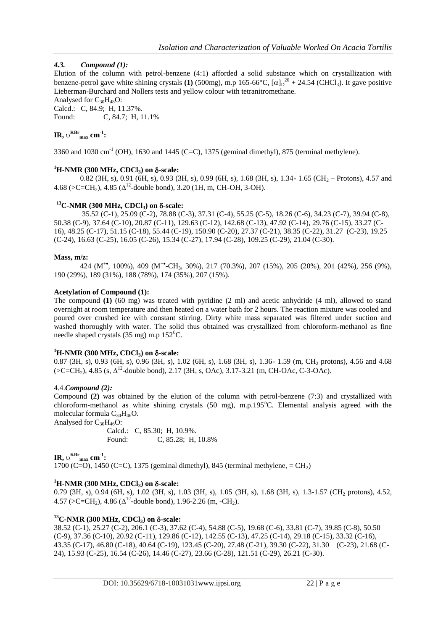# *4.3. Compound (1):*

Elution of the column with petrol-benzene (4:1) afforded a solid substance which on crystallization with benzene-petrol gave white shining crystals **(1)** (500mg), m.p 165-66°C,  $[\alpha]_D^{20} + 24.54$  (CHCl<sub>3</sub>). It gave positive Lieberman-Burchard and Nollers tests and yellow colour with tetranitromethane.

Analysed for  $C_{30}H_{48}O$ : Calcd.: C, 84.9; H, 11.37%. Found: C, 84.7; H, 11.1%

# $\textbf{IR}, \upsilon^{\textbf{KBr}}_{\text{max}} \textbf{cm}^{-1}$

3360 and 1030 cm<sup>-1</sup> (OH), 1630 and 1445 (C=C), 1375 (geminal dimethyl), 875 (terminal methylene).

# $^{1}$ **H-NMR** (300 MHz, CDCl<sub>3</sub>) on  $\delta$ -scale:

0.82 (3H, s), 0.91 (6H, s), 0.93 (3H, s), 0.99 (6H, s), 1.68 (3H, s), 1.34- 1.65 (CH<sub>2</sub> – Protons), 4.57 and 4.68 (>C=CH<sub>2</sub>), 4.85 ( $\Delta$ <sup>12</sup>-double bond), 3.20 (1H, m, CH-OH, 3-OH).

# **<sup>13</sup>C-NMR (300 MHz, CDCl3) on -scale:**

 35.52 (C-1), 25.09 (C-2), 78.88 (C-3), 37.31 (C-4), 55.25 (C-5), 18.26 (C-6), 34.23 (C-7), 39.94 (C-8), 50.38 (C-9), 37.64 (C-10), 20.87 (C-11), 129.63 (C-12), 142.68 (C-13), 47.92 (C-14), 29.76 (C-15), 33.27 (C-16), 48.25 (C-17), 51.15 (C-18), 55.44 (C-19), 150.90 (C-20), 27.37 (C-21), 38.35 (C-22), 31.27 (C-23), 19.25 (C-24), 16.63 (C-25), 16.05 (C-26), 15.34 (C-27), 17.94 (C-28), 109.25 (C-29), 21.04 (C-30).

## **Mass, m/z:**

424 (M<sup>+</sup>, 100%), 409 (M<sup>+</sup>•CH<sub>3</sub>, 30%), 217 (70.3%), 207 (15%), 205 (20%), 201 (42%), 256 (9%), 190 (29%), 189 (31%), 188 (78%), 174 (35%), 207 (15%).

## **Acetylation of Compound (1):**

The compound **(1)** (60 mg) was treated with pyridine (2 ml) and acetic anhydride (4 ml), allowed to stand overnight at room temperature and then heated on a water bath for 2 hours. The reaction mixture was cooled and poured over crushed ice with constant stirring. Dirty white mass separated was filtered under suction and washed thoroughly with water. The solid thus obtained was crystallized from chloroform-methanol as fine needle shaped crystals  $(35 \text{ mg})$  m.p  $152^{\circ}$ C.

## $^{1}$ **H-NMR** (300 MHz, CDCl<sub>3</sub>) on  $\delta$ -scale:

0.87 (3H, s), 0.93 (6H, s), 0.96 (3H, s), 1.02 (6H, s), 1.68 (3H, s), 1.36- 1.59 (m, CH<sub>2</sub> protons), 4.56 and 4.68  $( >C=CH<sub>2</sub>), 4.85$  (s,  $\Delta^{12}$ -double bond), 2.17 (3H, s, OAc), 3.17-3.21 (m, CH-OAc, C-3-OAc).

## 4.4.*Compound (2):*

Compound **(2)** was obtained by the elution of the column with petrol-benzene (7:3) and crystallized with chloroform-methanol as white shining crystals  $(50 \text{ mg})$ , m.p.195<sup>o</sup>C. Elemental analysis agreed with the molecular formula  $C_{30}H_{46}O$ .

Analysed for  $C_{30}H_{46}O$ :

Calcd.: C, 85.30; H, 10.9%. Found: C, 85.28; H, 10.8%

 $\textbf{IR}, \upsilon^{\text{KBr}}_{\text{max}} \textbf{cm}^{-1}$ : 1700 (C=O), 1450 (C=C), 1375 (geminal dimethyl), 845 (terminal methylene,  $=$  CH<sub>2</sub>)

## $^{1}$ **H-NMR** (300 MHz, CDCl<sub>3</sub>) on  $\delta$ -scale:

0.79 (3H, s), 0.94 (6H, s), 1.02 (3H, s), 1.03 (3H, s), 1.05 (3H, s), 1.68 (3H, s), 1.3-1.57 (CH<sub>2</sub> protons), 4.52, 4.57 (>C=CH<sub>2</sub>), 4.86 ( $\Delta$ <sup>12</sup>-double bond), 1.96-2.26 (m, -CH<sub>2</sub>).

# **<sup>13</sup>C-NMR (300 MHz, CDCl3) on -scale:**

38.52 (C-1), 25.27 (C-2), 206.1 (C-3), 37.62 (C-4), 54.88 (C-5), 19.68 (C-6), 33.81 (C-7), 39.85 (C-8), 50.50 (C-9), 37.36 (C-10), 20.92 (C-11), 129.86 (C-12), 142.55 (C-13), 47.25 (C-14), 29.18 (C-15), 33.32 (C-16), 43.35 (C-17), 46.80 (C-18), 40.64 (C-19), 123.45 (C-20), 27.48 (C-21), 39.30 (C-22), 31.30 (C-23), 21.68 (C-24), 15.93 (C-25), 16.54 (C-26), 14.46 (C-27), 23.66 (C-28), 121.51 (C-29), 26.21 (C-30).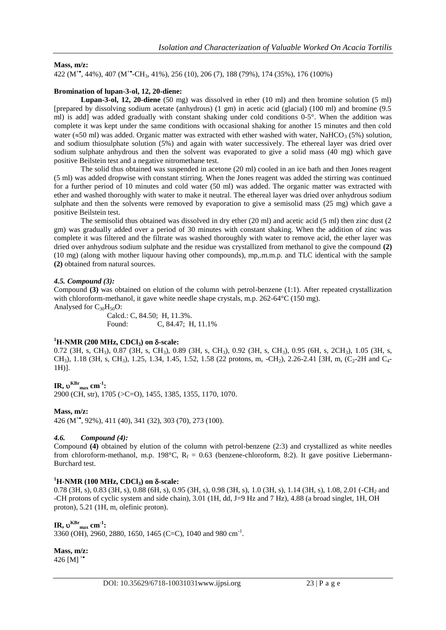# **Mass, m/z:**

422 (M<sup>+</sup> , 44%), 407 (M<sup>+</sup> -CH3, 41%), 256 (10), 206 (7), 188 (79%), 174 (35%), 176 (100%)

# **Bromination of lupan-3-ol, 12, 20-diene:**

**Lupan-3-ol, 12, 20-diene** (50 mg) was dissolved in ether (10 ml) and then bromine solution (5 ml) [prepared by dissolving sodium acetate (anhydrous) (1 gm) in acetic acid (glacial) (100 ml) and bromine (9.5 ml) is add] was added gradually with constant shaking under cold conditions  $0.5^\circ$ . When the addition was complete it was kept under the same conditions with occasional shaking for another 15 minutes and then cold water ( $\approx$ 50 ml) was added. Organic matter was extracted with ether washed with water, NaHCO<sub>3</sub> (5%) solution, and sodium thiosulphate solution (5%) and again with water successively. The ethereal layer was dried over sodium sulphate anhydrous and then the solvent was evaporated to give a solid mass (40 mg) which gave positive Beilstein test and a negative nitromethane test.

The solid thus obtained was suspended in acetone (20 ml) cooled in an ice bath and then Jones reagent (5 ml) was added dropwise with constant stirring. When the Jones reagent was added the stirring was continued for a further period of 10 minutes and cold water (50 ml) was added. The organic matter was extracted with ether and washed thoroughly with water to make it neutral. The ethereal layer was dried over anhydrous sodium sulphate and then the solvents were removed by evaporation to give a semisolid mass (25 mg) which gave a positive Beilstein test.

The semisolid thus obtained was dissolved in dry ether (20 ml) and acetic acid (5 ml) then zinc dust (2 gm) was gradually added over a period of 30 minutes with constant shaking. When the addition of zinc was complete it was filtered and the filtrate was washed thoroughly with water to remove acid, the ether layer was dried over anhydrous sodium sulphate and the residue was crystallized from methanol to give the compound **(2)** (10 mg) (along with mother liquour having other compounds), mp,.m.m.p. and TLC identical with the sample **(2)** obtained from natural sources.

# *4.5. Compound (3):*

Compound **(3)** was obtained on elution of the column with petrol-benzene (1:1). After repeated crystallization with chloroform-methanol, it gave white needle shape crystals, m.p. 262-64°C (150 mg). Analysed for  $C_{30}H_{50}O$ :

Calcd.: C, 84.50; H, 11.3%.<br>Found: C, 84.47: H C, 84.47; H, 11.1%

## $^{1}$ **H-NMR** (200 MHz, CDCl<sub>3</sub>) on  $\delta$ -scale:

0.72 (3H, s, CH<sub>3</sub>), 0.87 (3H, s, CH<sub>3</sub>), 0.89 (3H, s, CH<sub>3</sub>), 0.92 (3H, s, CH<sub>3</sub>), 0.95 (6H, s, 2CH<sub>3</sub>), 1.05 (3H, s, CH<sub>3</sub>), 1.18 (3H, s, CH<sub>3</sub>), 1.25, 1.34, 1.45, 1.52, 1.58 (22 protons, m, -CH<sub>2</sub>), 2.26-2.41 [3H, m, (C<sub>2</sub>-2H and C<sub>4</sub>-1H)].

 $\textbf{IR}, \mathbf{v}^{\textbf{KBr}}$ <sub>max</sub> cm<sup>-1</sup>:

2900 (CH, str), 1705 (>C=O), 1455, 1385, 1355, 1170, 1070.

## **Mass, m/z:**

426 (M<sup>+</sup> , 92%), 411 (40), 341 (32), 303 (70), 273 (100).

## *4.6. Compound (4):*

Compound **(4)** obtained by elution of the column with petrol-benzene (2:3) and crystallized as white needles from chloroform-methanol, m.p. 198°C,  $R_f = 0.63$  (benzene-chloroform, 8:2). It gave positive Liebermann-Burchard test.

## $^{1}$ **H-NMR** (100 MHz, CDCl<sub>3</sub>) on  $\delta$ -scale:

0.78 (3H, s), 0.83 (3H, s), 0.88 (6H, s), 0.95 (3H, s), 0.98 (3H, s), 1.0 (3H, s), 1.14 (3H, s), 1.08, 2.01 (-CH<sup>2</sup> and -CH protons of cyclic system and side chain), 3.01 (1H, dd, J=9 Hz and 7 Hz), 4.88 (a broad singlet, 1H, OH proton), 5.21 (1H, m, olefinic proton).

# $\textbf{IR}, \upsilon^{\textbf{KBr}}$ <sub>max</sub> cm<sup>-1</sup>:

3360 (OH), 2960, 2880, 1650, 1465 (C=C), 1040 and 980 cm<sup>-1</sup>.

**Mass, m/z:** 426 [M] $^+$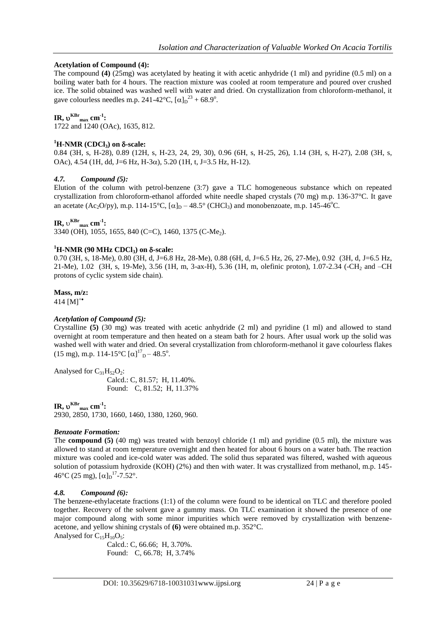## **Acetylation of Compound (4):**

The compound **(4)** (25mg) was acetylated by heating it with acetic anhydride (1 ml) and pyridine (0.5 ml) on a boiling water bath for 4 hours. The reaction mixture was cooled at room temperature and poured over crushed ice. The solid obtained was washed well with water and dried. On crystallization from chloroform-methanol, it gave colourless needles m.p. 241-42°C,  $[\alpha]_D^{23} + 68.9^\circ$ .

# $\textbf{IR}, \mathbf{v}^{\textbf{KBr}}$ <sub>max</sub> cm<sup>-1</sup>:

1722 and 1240 (OAc), 1635, 812.

## $<sup>1</sup>**H**$ -NMR (CDCl<sub>3</sub>) on δ-scale:</sup>

0.84 (3H, s, H-28), 0.89 (12H, s, H-23, 24, 29, 30), 0.96 (6H, s, H-25, 26), 1.14 (3H, s, H-27), 2.08 (3H, s, OAc), 4.54 (1H, dd, J=6 Hz, H-3 $\alpha$ ), 5.20 (1H, t, J=3.5 Hz, H-12).

## *4.7. Compound (5):*

Elution of the column with petrol-benzene (3:7) gave a TLC homogeneous substance which on repeated crystallization from chloroform-ethanol afforded white needle shaped crystals (70 mg) m.p. 136-37°C. It gave an acetate (Ac<sub>2</sub>O/py), m.p. 114-15°C,  $[\alpha]_D - 48.5^\circ$  (CHCl<sub>3</sub>) and monobenzoate, m.p. 145-46°C.

 $\textbf{IR}, \upsilon^{\textbf{KBr}}_{\text{max}} \textbf{cm}^{-1}$ 

3340 (OH), 1055, 1655, 840 (C=C), 1460, 1375 (C-Me<sub>2</sub>).

## $^{1}$ **H-NMR** (90 MHz CDCl<sub>3</sub>) on  $\delta$ -scale:

0.70 (3H, s, 18-Me), 0.80 (3H, d, J=6.8 Hz, 28-Me), 0.88 (6H, d, J=6.5 Hz, 26, 27-Me), 0.92 (3H, d, J=6.5 Hz, 21-Me), 1.02 (3H, s, 19-Me), 3.56 (1H, m, 3-ax-H), 5.36 (1H, m, olefinic proton), 1.07-2.34 (-CH<sup>2</sup> and –CH protons of cyclic system side chain).

#### **Mass, m/z:**

414  $[M]^{+}$ 

## *Acetylation of Compound (5):*

Crystalline **(5)** (30 mg) was treated with acetic anhydride (2 ml) and pyridine (1 ml) and allowed to stand overnight at room temperature and then heated on a steam bath for 2 hours. After usual work up the solid was washed well with water and dried. On several crystallization from chloroform-methanol it gave colourless flakes (15 mg), m.p. 114-15°C  $[\alpha]_{D}^{17}$ –48.5°.

Analysed for  $C_{31}H_{52}O_2$ : Calcd.: C, 81.57; H, 11.40%. Found: C, 81.52; H, 11.37%

 $\textbf{IR}, \upsilon^{\textbf{KBr}}$ <sub>max</sub> cm<sup>-1</sup>:

2930, 2850, 1730, 1660, 1460, 1380, 1260, 960.

#### *Benzoate Formation:*

The **compound (5)** (40 mg) was treated with benzoyl chloride (1 ml) and pyridine (0.5 ml), the mixture was allowed to stand at room temperature overnight and then heated for about 6 hours on a water bath. The reaction mixture was cooled and ice-cold water was added. The solid thus separated was filtered, washed with aqueous solution of potassium hydroxide (KOH) (2%) and then with water. It was crystallized from methanol, m.p. 145-  $46^{\circ}$ C (25 mg),  $[\alpha]_D^{17}$ -7.52°.

#### *4.8. Compound (6):*

The benzene-ethylacetate fractions (1:1) of the column were found to be identical on TLC and therefore pooled together. Recovery of the solvent gave a gummy mass. On TLC examination it showed the presence of one major compound along with some minor impurities which were removed by crystallization with benzeneacetone, and yellow shining crystals of **(6)** were obtained m.p. 352°C. Analysed for  $C_{15}H_{10}O_5$ :

Calcd.: C, 66.66; H, 3.70%. Found: C, 66.78; H, 3.74%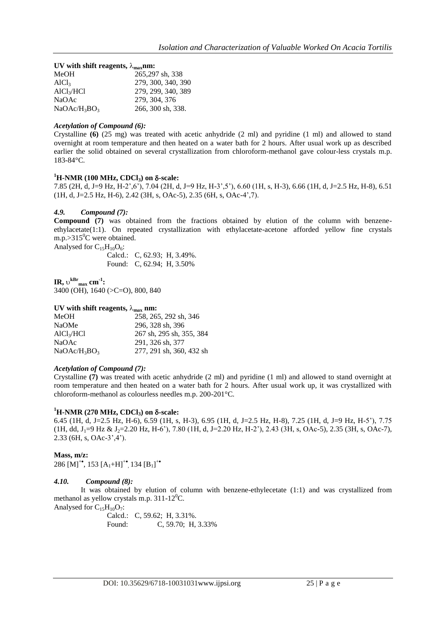| UV with shift reagents, $\lambda_{\text{max}}$ nm: |                    |  |
|----------------------------------------------------|--------------------|--|
| MeOH                                               | 265,297 sh, 338    |  |
| AICl <sub>3</sub>                                  | 279, 300, 340, 390 |  |
| AlCl <sub>3</sub> /HCl                             | 279, 299, 340, 389 |  |
| NaOAc                                              | 279, 304, 376      |  |
| $NaOAc/H_3BO_3$                                    | 266, 300 sh, 338.  |  |

#### *Acetylation of Compound (6):*

Crystalline **(6)** (25 mg) was treated with acetic anhydride (2 ml) and pyridine (1 ml) and allowed to stand overnight at room temperature and then heated on a water bath for 2 hours. After usual work up as described earlier the solid obtained on several crystallization from chloroform-methanol gave colour-less crystals m.p. 183-84°C.

## $^{1}$ **H-NMR** (100 MHz, CDCl<sub>3</sub>) on  $\delta$ -scale:

7.85 (2H, d, J=9 Hz, H-2",6"), 7.04 (2H, d, J=9 Hz, H-3",5"), 6.60 (1H, s, H-3), 6.66 (1H, d, J=2.5 Hz, H-8), 6.51 (1H, d, J=2.5 Hz, H-6), 2.42 (3H, s, OAc-5), 2.35 (6H, s, OAc-4",7).

## *4.9. Compound (7):*

**Compound (7)** was obtained from the fractions obtained by elution of the column with benzeneethylacetate(1:1). On repeated crystallization with ethylacetate-acetone afforded yellow fine crystals m.p.> $315^0C$  were obtained.

Analysed for  $C_{15}H_{10}O_6$ :

Calcd.: C, 62.93; H, 3.49%. Found: C, 62.94; H, 3.50%

 $\textbf{IR}, \upsilon^{\text{kBr}}$ <sub>max</sub>  $\textbf{cm}^{-1}$ : 3400 (OH), 1640 (>C=O), 800, 840

#### **UV** with shift reagents,  $\lambda_{\text{max}}$  nm:

| <b>MeOH</b>            | 258, 265, 292 sh, 346    |
|------------------------|--------------------------|
| <b>NaOMe</b>           | 296, 328 sh, 396         |
| AlCl <sub>3</sub> /HCl | 267 sh, 295 sh, 355, 384 |
| NaOAc                  | 291, 326 sh, 377         |
| $NaOAc/H_3BO_3$        | 277, 291 sh, 360, 432 sh |

#### *Acetylation of Compound (7):*

Crystalline **(7)** was treated with acetic anhydride (2 ml) and pyridine (1 ml) and allowed to stand overnight at room temperature and then heated on a water bath for 2 hours. After usual work up, it was crystallized with chloroform-methanol as colourless needles m.p. 200-201°C.

#### $^{1}$ **H-NMR** (270 MHz, CDCl<sub>3</sub>) on  $\delta$ -scale:

6.45 (1H, d, J=2.5 Hz, H-6), 6.59 (1H, s, H-3), 6.95 (1H, d, J=2.5 Hz, H-8), 7.25 (1H, d, J=9 Hz, H-5"), 7.75  $(1H, dd, J<sub>1</sub>=9 Hz & J<sub>2</sub>=2.20 Hz, H-6'$ ), 7.80 (1H, d, J=2.20 Hz, H-2'), 2.43 (3H, s, OAc-5), 2.35 (3H, s, OAc-7), 2.33 (6H, s, OAc-3",4").

#### **Mass, m/z:**

286 [M]<sup>+•</sup>, 153 [A<sub>1</sub>+H]<sup>+•</sup>, 134 [B<sub>1</sub>]<sup>+•</sup>

#### *4.10. Compound (8):*

It was obtained by elution of column with benzene-ethylecetate (1:1) and was crystallized from methanol as yellow crystals m.p.  $311-12^0C$ .

Analysed for  $C_{15}H_{10}O_7$ :

Calcd.: C, 59.62; H, 3.31%. Found: C, 59.70; H, 3.33%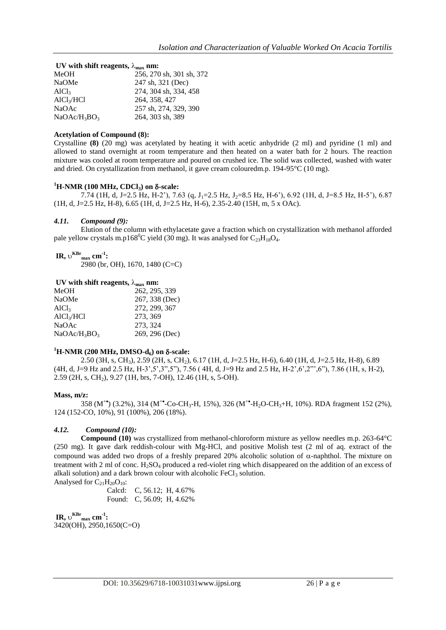| UV with shift reagents, $\lambda_{\text{max}}$ nm: |  |  |
|----------------------------------------------------|--|--|
| 256, 270 sh, 301 sh, 372                           |  |  |
| 247 sh, 321 (Dec)                                  |  |  |
| 274, 304 sh, 334, 458                              |  |  |
| 264, 358, 427                                      |  |  |
| 257 sh, 274, 329, 390                              |  |  |
| 264, 303 sh, 389                                   |  |  |
|                                                    |  |  |

#### **Acetylation of Compound (8):**

Crystalline **(8)** (20 mg) was acetylated by heating it with acetic anhydride (2 ml) and pyridine (1 ml) and allowed to stand overnight at room temperature and then heated on a water bath for 2 hours. The reaction mixture was cooled at room temperature and poured on crushed ice. The solid was collected, washed with water and dried. On crystallization from methanol, it gave cream colouredm.p. 194-95°C (10 mg).

#### $^{1}$ **H-NMR** (100 MHz, CDCl<sub>3</sub>) on  $\delta$ -scale:

7.74 (1H, d, J=2.5 Hz, H-2"), 7.63 (q, J<sub>1</sub>=2.5 Hz, J<sub>2</sub>=8.5 Hz, H-6"), 6.92 (1H, d, J=8.5 Hz, H-5"), 6.87 (1H, d, J=2.5 Hz, H-8), 6.65 (1H, d, J=2.5 Hz, H-6), 2.35-2.40 (15H, m, 5 x OAc).

#### *4.11. Compound (9):*

Elution of the column with ethylacetate gave a fraction which on crystallization with methanol afforded pale yellow crystals m.p168<sup>0</sup>C yield (30 mg). It was analysed for  $C_{23}H_{18}O_4$ .

 $\textbf{IR},\,\mathrm{U}^{\textbf{KBr}}$ <sub>max</sub>  $\textbf{cm}^{\textbf{-1}}$ :

2980 (br, OH), 1670, 1480 (C=C)

#### UV with shift reagents,  $\lambda_{\text{max}}$  nm:

| MeOH                   |  | 262, 295, 339  |
|------------------------|--|----------------|
| <b>NaOMe</b>           |  | 267, 338 (Dec) |
| AICl <sub>3</sub>      |  | 272, 299, 367  |
| AlCl <sub>3</sub> /HCl |  | 273, 369       |
| NaOAc                  |  | 273, 324       |
| $NaOAc/H_3BO_3$        |  | 269, 296 (Dec) |
|                        |  |                |

#### $^{1}$ **H-NMR** (200 MHz, DMSO-d<sub>6</sub>) on  $\delta$ -scale:

2.50 (3H, s, CH3), 2.59 (2H, s, CH2), 6.17 (1H, d, J=2.5 Hz, H-6), 6.40 (1H, d, J=2.5 Hz, H-8), 6.89 (4H, d, J=9 Hz and 2.5 Hz, H-3",5",3",5"), 7.56 ( 4H, d, J=9 Hz and 2.5 Hz, H-2",6",2"",6"), 7.86 (1H, s, H-2), 2.59 (2H, s, CH2), 9.27 (1H, brs, 7-OH), 12.46 (1H, s, 5-OH).

#### **Mass, m/z:**

358 (M<sup>+</sup>\*) (3.2%), 314 (M<sup>+\*</sup>-Co-CH<sub>3</sub>-H, 15%), 326 (M<sup>+\*</sup>-H<sub>2</sub>O-CH<sub>3</sub>+H, 10%). RDA fragment 152 (2%), 124 (152-CO, 10%), 91 (100%), 206 (18%).

#### *4.12. Compound (10):*

**Compound (10)** was crystallized from methanol-chloroform mixture as yellow needles m.p. 263-64°C (250 mg). It gave dark reddish-colour with Mg-HCl, and positive Molish test (2 ml of aq. extract of the compound was added two drops of a freshly prepared 20% alcoholic solution of  $\alpha$ -naphthol. The mixture on treatment with 2 ml of conc. H<sub>2</sub>SO<sub>4</sub> produced a red-violet ring which disappeared on the addition of an excess of alkali solution) and a dark brown colour with alcoholic  $FeCl<sub>3</sub>$  solution. Analysed for  $C_{21}H_{20}O_{10}$ :

Calcd: C, 56.12; H, 4.67% Found: C, 56.09; H, 4.62%

 $\textbf{IR},\,\mathrm{U}^{\textbf{KBr}}$ <sub>max</sub>  $\textbf{cm}^{\textbf{-1}}$ : 3420(OH), 2950,1650(C=O)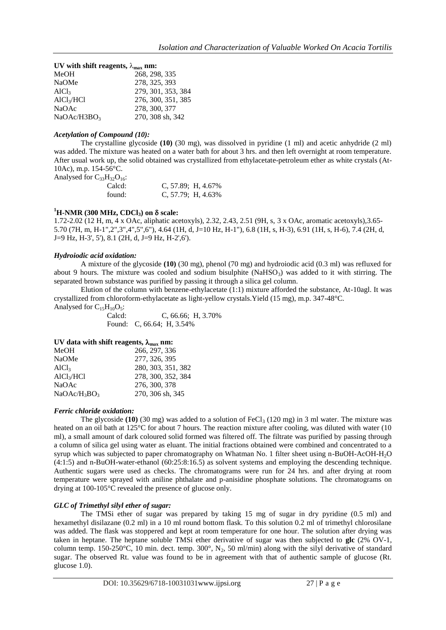| UV with shift reagents, $\lambda_{\text{max}}$ nm: |                    |  |
|----------------------------------------------------|--------------------|--|
| MeOH                                               | 268, 298, 335      |  |
| NaOMe                                              | 278, 325, 393      |  |
| AICl <sub>3</sub>                                  | 279, 301, 353, 384 |  |
| AlCl <sub>3</sub> /HCl                             | 276, 300, 351, 385 |  |
| <b>NaOAc</b>                                       | 278, 300, 377      |  |
| NaOAc/H3BO <sub>3</sub>                            | 270, 308 sh, 342   |  |

#### *Acetylation of Compound (10):*

The crystalline glycoside **(10)** (30 mg), was dissolved in pyridine (1 ml) and acetic anhydride (2 ml) was added. The mixture was heated on a water bath for about 3 hrs. and then left overnight at room temperature. After usual work up, the solid obtained was crystallized from ethylacetate-petroleum ether as white crystals (At-10Ac), m.p. 154-56°C.

Analysed for  $C_{33}H_{32}O_{16}$ :

| Calcd: | C, $57.89$ ; H, $4.67\%$ |
|--------|--------------------------|
| found: | C, $57.79$ ; H, $4.63\%$ |

## $^{1}$ **H-NMR** (300 MHz, CDCl<sub>3</sub>) on  $\delta$  scale:

1.72-2.02 (12 H, m, 4 x OAc, aliphatic acetoxyls), 2.32, 2.43, 2.51 (9H, s, 3 x OAc, aromatic acetoxyls),3.65- 5.70 (7H, m, H-1",2",3",4",5",6"), 4.64 (1H, d, J=10 Hz, H-1"), 6.8 (1H, s, H-3), 6.91 (1H, s, H-6), 7.4 (2H, d, J=9 Hz, H-3', 5'), 8.1 (2H, d, J=9 Hz, H-2',6').

#### *Hydroiodic acid oxidation:*

A mixture of the glycoside **(10)** (30 mg), phenol (70 mg) and hydroiodic acid (0.3 ml) was refluxed for about 9 hours. The mixture was cooled and sodium bisulphite  $(NaHSO<sub>3</sub>)$  was added to it with stirring. The separated brown substance was purified by passing it through a silica gel column.

Elution of the column with benzene-ethylacetate (1:1) mixture afforded the substance, At-10agl. It was crystallized from chloroform-ethylacetate as light-yellow crystals.Yield (15 mg), m.p. 347-48°C.

Analysed for  $C_{15}H_{10}O_5$ :<br>Calcd:  $C. 66.66$ ; H,  $3.70\%$ Found: C, 66.64; H, 3.54%

#### UV data with shift reagents,  $\lambda_{\text{max}}$  nm:

| 266, 297, 336      |
|--------------------|
| 277, 326, 395      |
| 280, 303, 351, 382 |
| 278, 300, 352, 384 |
| 276, 300, 378      |
| 270, 306 sh, 345   |
|                    |

#### *Ferric chloride oxidation:*

The glycoside  $(10)$  (30 mg) was added to a solution of FeCl<sub>3</sub> (120 mg) in 3 ml water. The mixture was heated on an oil bath at 125<sup>°</sup>C for about 7 hours. The reaction mixture after cooling, was diluted with water (10 ml), a small amount of dark coloured solid formed was filtered off. The filtrate was purified by passing through a column of silica gel using water as eluant. The initial fractions obtained were combined and concentrated to a syrup which was subjected to paper chromatography on Whatman No. 1 filter sheet using n-BuOH-AcOH-H2O (4:1:5) and n-BuOH-water-ethanol (60:25:8:16.5) as solvent systems and employing the descending technique. Authentic sugars were used as checks. The chromatograms were run for 24 hrs. and after drying at room temperature were sprayed with aniline phthalate and p-anisidine phosphate solutions. The chromatograms on drying at 100-105°C revealed the presence of glucose only.

#### *GLC of Trimethyl silyl ether of sugar:*

The TMSi ether of sugar was prepared by taking 15 mg of sugar in dry pyridine (0.5 ml) and hexamethyl disilazane (0.2 ml) in a 10 ml round bottom flask. To this solution 0.2 ml of trimethyl chlorosilane was added. The flask was stoppered and kept at room temperature for one hour. The solution after drying was taken in heptane. The heptane soluble TMSi ether derivative of sugar was then subjected to **glc** (2% OV-1, column temp. 150-250°C, 10 min. dect. temp. 300°, N<sub>2</sub>, 50 ml/min) along with the silyl derivative of standard sugar. The observed Rt. value was found to be in agreement with that of authentic sample of glucose (Rt. glucose 1.0).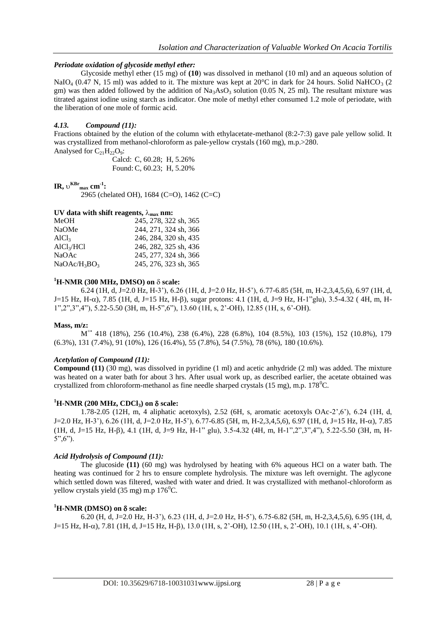## *Periodate oxidation of glycoside methyl ether:*

Glycoside methyl ether (15 mg) of **(10**) was dissolved in methanol (10 ml) and an aqueous solution of NaIO<sub>4</sub> (0.47 N, 15 ml) was added to it. The mixture was kept at 20 $^{\circ}$ C in dark for 24 hours. Solid NaHCO<sub>3</sub> (2) gm) was then added followed by the addition of  $\text{Na}_3\text{AsO}_3$  solution (0.05 N, 25 ml). The resultant mixture was titrated against iodine using starch as indicator. One mole of methyl ether consumed 1.2 mole of periodate, with the liberation of one mole of formic acid.

## *4.13. Compound (11):*

Fractions obtained by the elution of the column with ethylacetate-methanol (8:2-7:3) gave pale yellow solid. It was crystallized from methanol-chloroform as pale-yellow crystals (160 mg), m.p.>280. Analysed for  $C_{21}H_{22}O_9$ :

Calcd: C, 60.28; H, 5.26% Found: C, 60.23; H, 5.20%

# $\textbf{IR}, \upsilon^{\textbf{KBr}}_{\text{max}} \textbf{cm}^{-1}$

2965 (chelated OH), 1684 (C=O), 1462 (C=C)

## UV data with shift reagents,  $\lambda_{\text{max}}$  nm:

| MeOH                   | 245, 278, 322 sh, 365 |
|------------------------|-----------------------|
| <b>NaOMe</b>           | 244, 271, 324 sh, 366 |
| AICl <sub>3</sub>      | 246, 284, 320 sh, 435 |
| AlCl <sub>3</sub> /HCl | 246, 282, 325 sh, 436 |
| <b>NaOAc</b>           | 245, 277, 324 sh, 366 |
| $NaOAc/H_3BO_3$        | 245, 276, 323 sh, 365 |

#### $^{1}$ **H-NMR (300 MHz, DMSO) on**  $\delta$  **scale:**

6.24 (1H, d, J=2.0 Hz, H-3"), 6.26 (1H, d, J=2.0 Hz, H-5"), 6.77-6.85 (5H, m, H-2,3,4,5,6), 6.97 (1H, d,  $J=15$  Hz, H- $\alpha$ ), 7.85 (1H, d, J=15 Hz, H- $\beta$ ), sugar protons: 4.1 (1H, d, J=9 Hz, H-1"glu), 3.5-4.32 (4H, m, H-1",2",3",4"), 5.22-5.50 (3H, m, H-5",6"), 13.60 (1H, s, 2"-OH), 12.85 (1H, s, 6"-OH).

#### **Mass, m/z:**

M +• 418 (18%), 256 (10.4%), 238 (6.4%), 228 (6.8%), 104 (8.5%), 103 (15%), 152 (10.8%), 179 (6.3%), 131 (7.4%), 91 (10%), 126 (16.4%), 55 (7.8%), 54 (7.5%), 78 (6%), 180 (10.6%).

## *Acetylation of Compound (11):*

**Compound (11)** (30 mg), was dissolved in pyridine (1 ml) and acetic anhydride (2 ml) was added. The mixture was heated on a water bath for about 3 hrs. After usual work up, as described earlier, the acetate obtained was crystallized from chloroform-methanol as fine needle sharped crystals (15 mg), m.p.  $178^{\circ}$ C.

#### $^{1}$ **H-NMR** (200 MHz, CDCl<sub>3</sub>) on  $\delta$  scale:

1.78-2.05 (12H, m, 4 aliphatic acetoxyls), 2.52 (6H, s, aromatic acetoxyls OAc-2",6"), 6.24 (1H, d, J=2.0 Hz, H-3'), 6.26 (1H, d, J=2.0 Hz, H-5'), 6.77-6.85 (5H, m, H-2,3,4,5,6), 6.97 (1H, d, J=15 Hz, H- $\alpha$ ), 7.85 (1H, d, J=15 Hz, H-), 4.1 (1H, d, J=9 Hz, H-1" glu), 3.5-4.32 (4H, m, H-1",2",3",4"), 5.22-5.50 (3H, m, H- $5", 6"$ ).

## *Acid Hydrolysis of Compound (11):*

The glucoside **(11)** (60 mg) was hydrolysed by heating with 6% aqueous HCl on a water bath. The heating was continued for 2 hrs to ensure complete hydrolysis. The mixture was left overnight. The aglycone which settled down was filtered, washed with water and dried. It was crystallized with methanol-chloroform as yellow crystals yield  $(35 \text{ mg})$  m.p  $176^{\circ}$ C.

#### $^{1}$ **H-NMR (DMSO) on**  $\delta$  **scale:**

6.20 (H, d, J=2.0 Hz, H-3"), 6.23 (1H, d, J=2.0 Hz, H-5"), 6.75-6.82 (5H, m, H-2,3,4,5,6), 6.95 (1H, d,  $J=15$  Hz, H- $\alpha$ ), 7.81 (1H, d, J=15 Hz, H- $\beta$ ), 13.0 (1H, s, 2'-OH), 12.50 (1H, s, 2'-OH), 10.1 (1H, s, 4'-OH).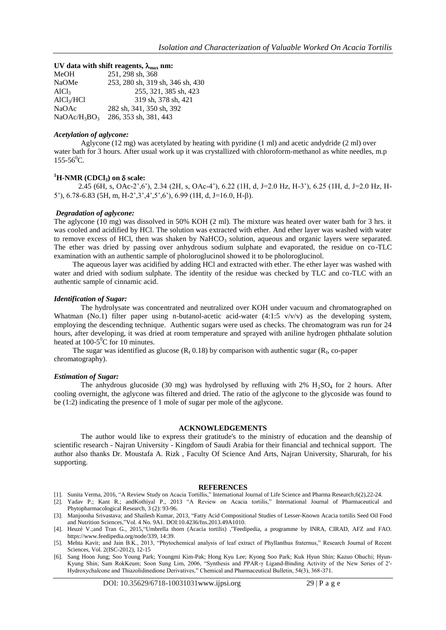#### **UV** data with shift reagents,  $\lambda_{\text{max}}$  nm:

| MeOH                                 | 251, 298 sh, 368                 |
|--------------------------------------|----------------------------------|
| NaOMe                                | 253, 280 sh, 319 sh, 346 sh, 430 |
| AICl <sub>3</sub>                    | 255, 321, 385 sh, 423            |
| AlCl <sub>3</sub> /HCl               | 319 sh, 378 sh, 421              |
| <b>NaOAc</b>                         | 282 sh, 341, 350 sh, 392         |
| NaOAc/H <sub>3</sub> BO <sub>3</sub> | 286, 353 sh, 381, 443            |
|                                      |                                  |

#### *Acetylation of aglycone:*

Aglycone (12 mg) was acetylated by heating with pyridine (1 ml) and acetic andydride (2 ml) over water bath for 3 hours. After usual work up it was crystallized with chloroform-methanol as white needles, m.p  $155-56^{\circ}$ C.

# $^{1}$ **H-NMR** (CDCl<sub>3</sub>) on  $\delta$  scale:

 2.45 (6H, s, OAc-2",6"), 2.34 (2H, s, OAc-4"), 6.22 (1H, d, J=2.0 Hz, H-3"), 6.25 (1H, d, J=2.0 Hz, H-5"),  $6.78-6.83$  (5H, m, H-2', 3', 4', 5', 6'),  $6.99$  (1H, d, J=16.0, H- $\beta$ ).

## *Degradation of aglycone:*

The aglycone (10 mg) was dissolved in 50% KOH (2 ml). The mixture was heated over water bath for 3 hrs. it was cooled and acidified by HCl. The solution was extracted with ether. And ether layer was washed with water to remove excess of HCl, then was shaken by  $NaHCO<sub>3</sub>$  solution, aqueous and organic layers were separated. The ether was dried by passing over anhydrous sodium sulphate and evaporated, the residue on co-TLC examination with an authentic sample of pholoroglucinol showed it to be pholoroglucinol.

 The aqueous layer was acidified by adding HCl and extracted with ether. The ether layer was washed with water and dried with sodium sulphate. The identity of the residue was checked by TLC and co-TLC with an authentic sample of cinnamic acid.

#### *Identification of Sugar:*

The hydrolysate was concentrated and neutralized over KOH under vacuum and chromatographed on Whatman (No.1) filter paper using n-butanol-acetic acid-water (4:1:5 v/v/v) as the developing system, employing the descending technique. Authentic sugars were used as checks. The chromatogram was run for 24 hours, after developing, it was dried at room temperature and sprayed with aniline hydrogen phthalate solution heated at  $100-5$ <sup>o</sup>C for 10 minutes.

The sugar was identified as glucose ( $R_f$  0.18) by comparison with authentic sugar ( $R_f$ , co-paper chromatography).

#### *Estimation of Sugar:*

The anhydrous glucoside (30 mg) was hydrolysed by refluxing with  $2\%$  H<sub>2</sub>SO<sub>4</sub> for 2 hours. After cooling overnight, the aglycone was filtered and dried. The ratio of the aglycone to the glycoside was found to be (1:2) indicating the presence of 1 mole of sugar per mole of the aglycone.

#### **ACKNOWLEDGEMENTS**

The author would like to express their gratitude's to the ministry of education and the deanship of scientific research - Najran University - Kingdom of Saudi Arabia for their financial and technical support. The author also thanks Dr. Moustafa A. Rizk , Faculty Of Science And Arts, Najran University, Sharurah, for his supporting.

#### **REFERENCES**

- [1]. Sunita Verma, 2016, "A Review Study on Acacia Tortillis," International Journal of Life Science and Pharma Research,6(2),22-24.
- [2]. Yadav P.; Kant R.; andKothiyal P., 2013 "A Review on Acacia tortilis," International Journal of Pharmaceutical and Phytopharmacological Research, 3 (2): 93-96.
- [3]. Manjoosha Srivastava; and Shailesh Kumar, 2013, "Fatty Acid Compositional Studies of Lesser-Known Acacia tortilis Seed Oil Food and Nutrition Sciences,"Vol. 4 No. 9A1. DOI:10.4236/fns.2013.49A1010.
- [4]. Heuzé V.;and Tran G., 2015,"Umbrella thorn (Acacia tortilis) ,"Feedipedia, a programme by INRA, CIRAD, AFZ and FAO. https://www.feedipedia.org/node/339, 14:39.
- [5]. Mehta Kavit; and Jain B.K., 2013, "Phytochemical analysis of leaf extract of Phyllanthus fraternus," Research Journal of Recent Sciences, Vol. 2(ISC-2012), 12-15
- [6]. Sang Hoon Jung; Soo Young Park; Youngmi Kim-Pak; Hong Kyu Lee; Kyong Soo Park; Kuk Hyun Shin; Kazuo Ohuchi; Hyun-Kyung Shin; Sam RokKeum; Soon Sung Lim, 2006, "Synthesis and PPAR-γ Ligand-Binding Activity of the New Series of 2′- Hydroxychalcone and Thiazolidinedione Derivatives," Chemical and Pharmaceutical Bulletin, 54(3), 368-371.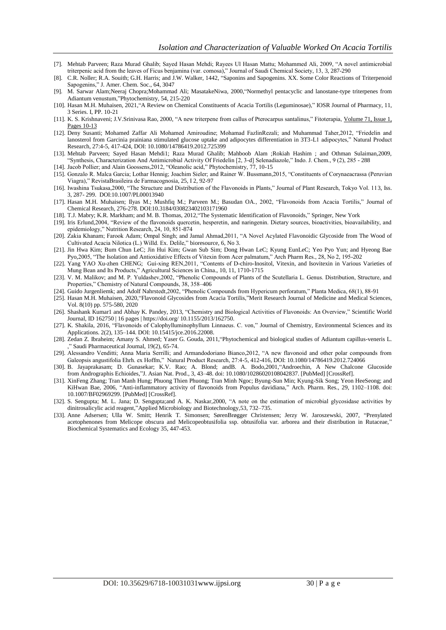- [7]. Mehtab Parveen; Raza Murad Ghalib; Sayed Hasan Mehdi; Rayees Ul Hasan Mattu; Mohammed Ali, 2009, "A novel antimicrobial triterpenic acid from the leaves of Ficus benjamina (var. comosa)," Journal of Saudi Chemical Society, 13, 3, 287-290
- [8]. C.R. Noller; R.A. Souith; G.H. Harris; and J.W. Walker, 1442, "Saponins and Sapogenins. XX. Some Color Reactions of Triterpenoid Sapogenins," J. Amer. Chem. Soc., 64, 3047
- [9]. [M. Sarwar Alam;Neeraj Chopra;Mohammad Ali; MasatakeNiwa,](https://www.sciencedirect.com/science/article/pii/S0031942200000637?casa_token=NHJ9FGQ9jJgAAAAA:63k5tVpCD5I2sxHWYzzqMS3VDpYmyXG3uU8KDk3RRUCKx93ahJKoSMwrbQ--Zb3OhvbFa9LC#!) 2000,"Normethyl pentacyclic and lanostane-type triterpenes from Adiantum venustum,"Phytochemistry, 54, 215-220
- [10]. Hasan M.H. Muhaisen, 2021,"A Review on Chemical Constituents of Acacia Tortilis (Leguminosae)," IOSR Journal of Pharmacy, 11, 3 Series. I, PP. 10-21
- [11]. K. S. Krishnaveni; J.V.Srinivasa Rao, 2000, "A new triterpene from callus of Pterocarpus santalinus," Fitoterapia, [Volume 71, Issue 1,](https://www.sciencedirect.com/science/journal/0367326X/71/1)  Pages 10-13
- [12]. Deny Susanti; Mohamed Zaffar Ali Mohamed Amiroudine; Mohamad FazlinRezali; and Muhammad Taher,2012, "Friedelin and lanosterol from Garcinia prainiana stimulated glucose uptake and adipocytes differentiation in 3T3-L1 adipocytes," Natural Product Research, 27:4-5, 417-424, DOI: 10.1080/14786419.2012.725399
- [13]. Mehtab Parveen; Sayed Hasan Mehdi1; Raza Murad Ghalib; Mahboob Alam ;Rokiah Hashim ; and Othman Sulaiman,2009, "Synthesis, Characterization And Antimicrobial Activity Of Friedelin [2, 3-d] Selenadiazole," Indo. J. Chem., 9 (2), 285 - 288
- [14]. Jacob Pollier; and Alain Goossens,2012, "Oleanolic acid," Phytochemistry, 77, 10-15 [15]. Gonzalo R. Malca Garcia; Lothar Hennig; Joachim Sieler; and Rainer W. Bussmann,2015, "Constituents of Corynaeacrassa (Peruvian
- Viagra)," RevistaBrasileira de Farmacognosia, 25, I 2, 92-97
- [16]. Iwashina Tsukasa,2000, "The Structure and Distribution of the Flavonoids in Plants," Journal of Plant Research, Tokyo Vol. 113, Iss. 3, 287- 299. DOI:10.1007/PL00013940
- [17]. Hasan M.H. Muhaisen; Ilyas M.; Mushfiq M.; Parveen M.; Basudan OA., 2002, "Flavonoids from Acacia Tortilis," Journal of Chemical Research, 276-278. DOI:10.3184/030823402103171960
- [18]. T.J. Mabry; K.R. Markham; and M. B. Thomas, 2012,"The Systematic Identification of Flavonoids," Springer, New York
- [19]. Iris Erlund,2004, "Review of the flavonoids quercetin, hesperetin, and naringenin. Dietary sources, bioactivities, bioavailability, and epidemiology," Nutrition Research, 24, 10, 851-874
- [20]. Zakia Khanam; Farook Adam; Ompal Singh; and Jamal Ahmad,2011, "A Novel Acylated Flavonoidic Glycoside from The Wood of Cultivated Acacia Nilotica (L.) Willd. Ex. Delile," bioresource, 6, No 3.
- [21]. Jin Hwa Kim; Bum Chun LeC; Jin Hui Kim; Gwan Sub Sim; Dong Hwan LeC; Kyung EunLeC; Yeo Pyo Yun; and Hyeong Bae Pyo,2005, "The Isolation and Antioxidative Effects of Vitexin from Acer palmatum," Arch Pharm Res., 28, No 2, 195-202
- [22]. Yang YAO Xu-zhen CHENG; Gui-xing REN,2011, "Contents of D-chiro-Inositol, Vitexin, and Isovitexin in Various Varieties of Mung Bean and Its Products," Agricultural Sciences in China., 10, 11, 1710-1715
- [23]. V. M. Malikov; and M. P. Yuldashev,2002, "Phenolic Compounds of Plants of the Scutellaria L. Genus. Distribution, Structure, and Properties," Chemistry of Natural Compounds, 38, 358–406
- [24]. Guido Jurgenliemk; and Adolf Nahrstedt,2002, "Phenolic Compounds from Hypericum perforatum," Planta Medica, 68(1), 88-91
- [25]. Hasan M.H. Muhaisen, 2020,"Flavonoid Glycosides from Acacia Tortilis,"Merit Research Journal of Medicine and Medical Sciences, Vol. 8(10) pp. 575-580, 2020
- [26]. Shashank Kumar1 and Abhay K. Pandey, 2013, "Chemistry and Biological Activities of Flavonoids: An Overview," Scientific World Journal, ID 162750 | 16 pages | https://doi.org/ 10.1155/2013/162750.
- [27]. K. Shakila, 2016, "Flavonoids of Calophylluminophyllum Linnaeus. C. von," Journal of Chemistry, Environmental Sciences and its Applications. 2(2), 135–144. DOI: 10.15415/jce.2016.22008.
- [28]. [Zedan Z. Ibraheim; Amany S. Ahmed; Yaser G. Gouda,](https://www.sciencedirect.com/science/article/pii/S1319016411000089#!) 2011,"Phytochemical and biological studies of Adiantum capillus-veneris L. Saudi Pharmaceutical Journal, 19(2), 65-74.
- [29]. Alessandro Venditti; Anna Maria Serrilli; and Armandodoriano Bianco,2012, "A new flavonoid and other polar compounds from Galeopsis angustifolia Ehrh. ex Hoffm," Natural Product Research, 27:4-5, 412-416, DOI: 10.1080/14786419.2012.724066
- [30]. B. Jayaprakasam; D. Gunasekar; K.V. Rao; A. Blond; andB. A. Bodo,2001,"Androechin, A New Chalcone Glucoside from Andrographis Echioides,"J. Asian Nat. Prod., 3, 43–48. doi: 10.1080/10286020108042837. [PubMed] [CrossRef].
- [31]. XinFeng Zhang; Tran Manh Hung; Phuong Thien Phuong; Tran Minh Ngoc; Byung-Sun Min; Kyung-Sik Song; Yeon HeeSeong; and KiHwan Bae, 2006, "Anti-inflammatory activity of flavonoids from Populus davidiana," Arch. Pharm. Res., 29, 1102–1108. doi: 10.1007/BF02969299. [PubMed] [CrossRef].
- [32]. S. Sengupta; M. L. Jana; D. Sengupta;and A. K. Naskar,2000, "A note on the estimation of microbial glycosidase activities by dinitrosalicylic acid reagent,"Applied Microbiology and Biotechnology,53, 732–735.
- [33]. Anne Adsersen; Ulla W. Smitt; Henrik T. Simonsen; SørenBrøgger Christensen; Jerzy W. Jaroszewski, 2007, "Prenylated acetophenones from Melicope obscura and Melicopeobtusifolia ssp. obtusifolia var. arborea and their distribution in Rutaceae," Biochemical Systematics and Ecology 35, 447-453.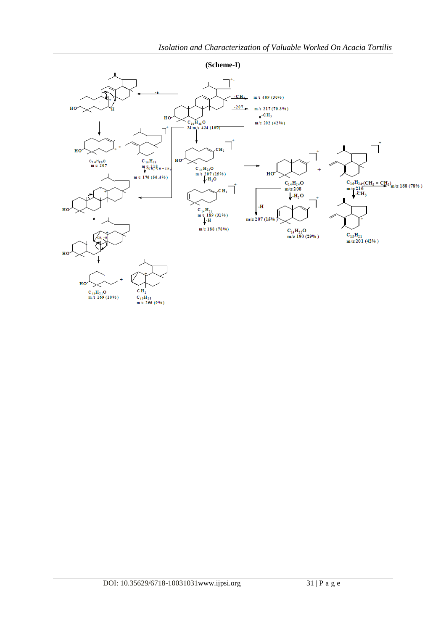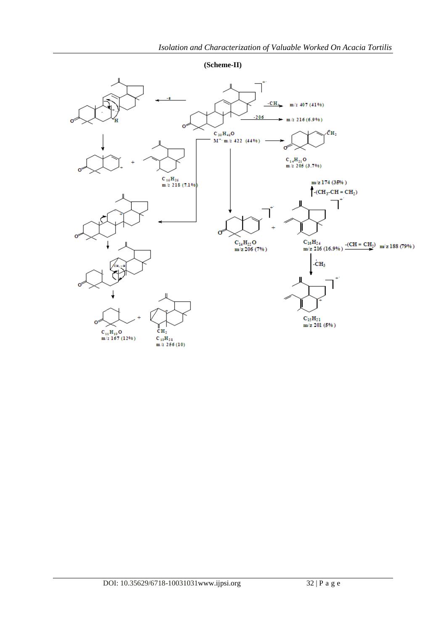**(Scheme-II)**

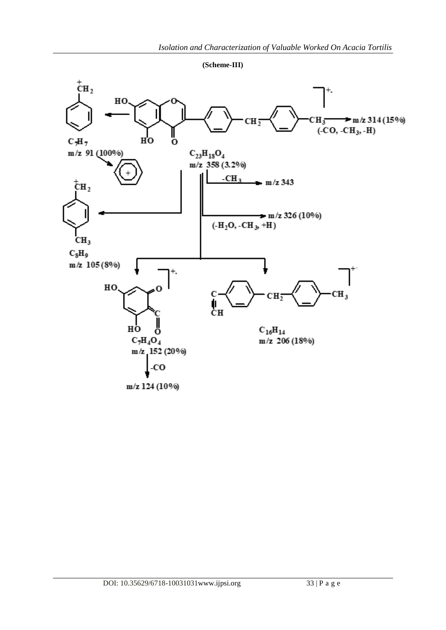**(Scheme-III)**